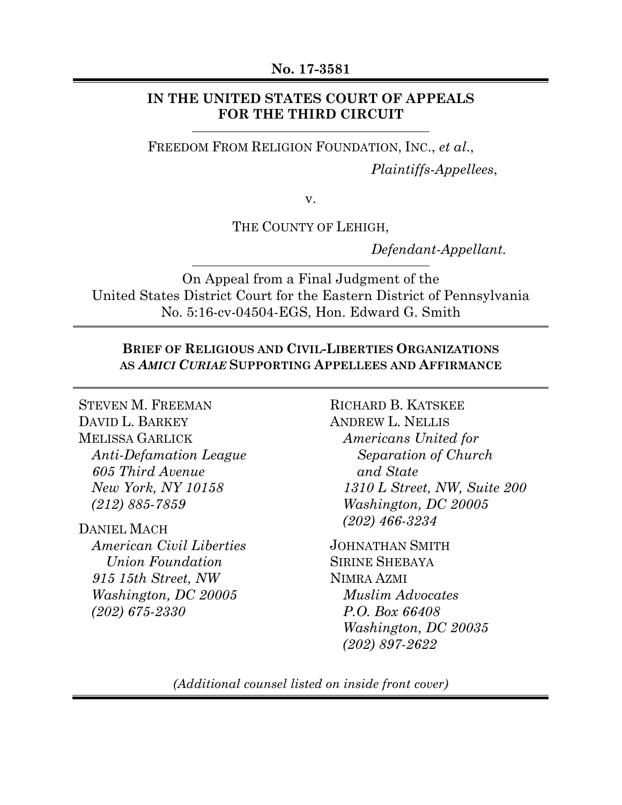### **No. 17-3581**

## **IN THE UNITED STATES COURT OF APPEALS FOR THE THIRD CIRCUIT**

FREEDOM FROM RELIGION FOUNDATION, INC., *et al*., *Plaintiffs-Appellees*,

v.

THE COUNTY OF LEHIGH,

*Defendant-Appellant.* 

On Appeal from a Final Judgment of the United States District Court for the Eastern District of Pennsylvania No. 5:16-cv-04504-EGS, Hon. Edward G. Smith

## **BRIEF OF RELIGIOUS AND CIVIL-LIBERTIES ORGANIZATIONS AS** *AMICI CURIAE* **SUPPORTING APPELLEES AND AFFIRMANCE**

STEVEN M. FREEMAN DAVID L. BARKEY MELISSA GARLICK *Anti-Defamation League 605 Third Avenue New York, NY 10158 (212) 885-7859* 

DANIEL MACH *American Civil Liberties Union Foundation 915 15th Street, NW Washington, DC 20005 (202) 675-2330* 

RICHARD B. KATSKEE ANDREW L. NELLIS *Americans United for Separation of Church and State 1310 L Street, NW, Suite 200 Washington, DC 20005 (202) 466-3234* 

JOHNATHAN SMITH SIRINE SHEBAYA NIMRA AZMI *Muslim Advocates P.O. Box 66408 Washington, DC 20035 (202) 897-2622* 

*(Additional counsel listed on inside front cover)*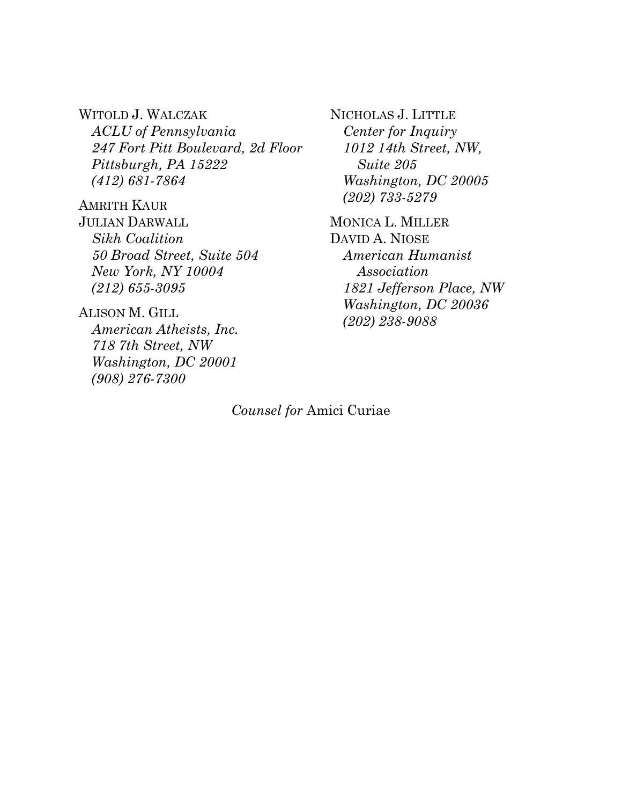WITOLD J. WALCZAK *ACLU of Pennsylvania 247 Fort Pitt Boulevard, 2d Floor Pittsburgh, PA 15222 (412) 681-7864* 

AMRITH KAUR JULIAN DARWALL *Sikh Coalition 50 Broad Street, Suite 504 New York, NY 10004 (212) 655-3095* 

ALISON M. GILL *American Atheists, Inc. 718 7th Street, NW Washington, DC 20001 (908) 276-7300* 

NICHOLAS J. LITTLE *Center for Inquiry 1012 14th Street, NW, Suite 205 Washington, DC 20005 (202) 733-5279* 

MONICA L. MILLER DAVID A. NIOSE *American Humanist Association 1821 Jefferson Place, NW Washington, DC 20036 (202) 238-9088* 

*Counsel for* Amici Curiae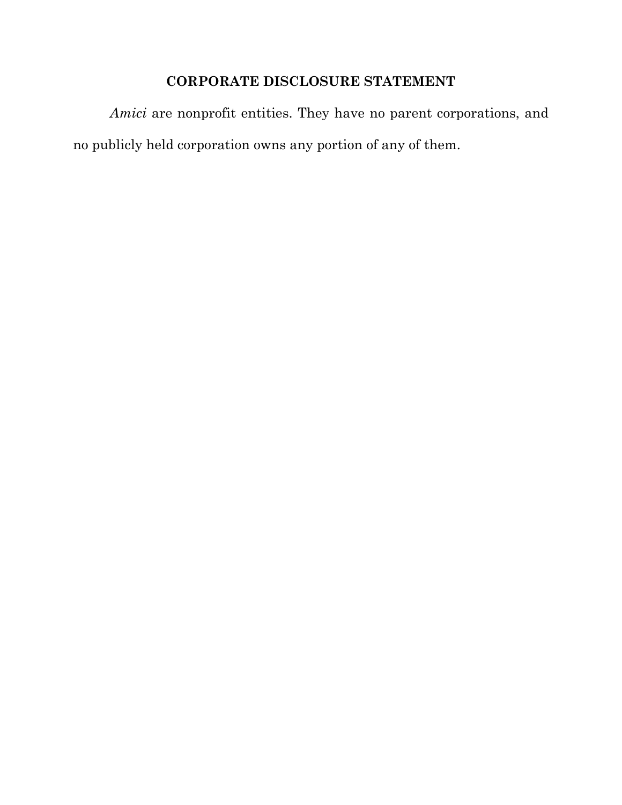## **CORPORATE DISCLOSURE STATEMENT**

*Amici* are nonprofit entities. They have no parent corporations, and no publicly held corporation owns any portion of any of them.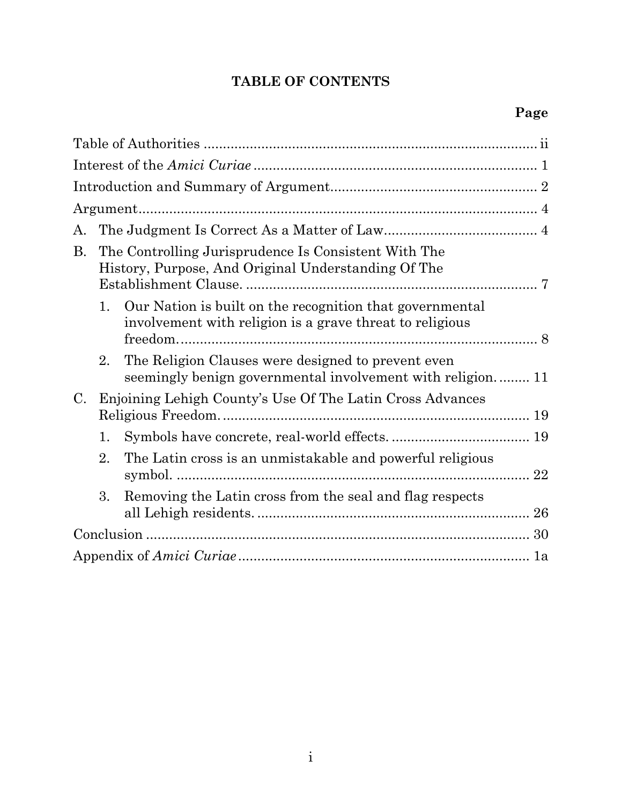## **TABLE OF CONTENTS**

| А.             |                                                                                                                                      |                                                                                                                      |  |  |  |  |
|----------------|--------------------------------------------------------------------------------------------------------------------------------------|----------------------------------------------------------------------------------------------------------------------|--|--|--|--|
| <b>B.</b>      | The Controlling Jurisprudence Is Consistent With The<br>History, Purpose, And Original Understanding Of The<br>Establishment Clause. |                                                                                                                      |  |  |  |  |
|                | 1.                                                                                                                                   | Our Nation is built on the recognition that governmental<br>involvement with religion is a grave threat to religious |  |  |  |  |
|                | 2.                                                                                                                                   | The Religion Clauses were designed to prevent even<br>seemingly benign governmental involvement with religion 11     |  |  |  |  |
| $\mathbf{C}$ . |                                                                                                                                      | Enjoining Lehigh County's Use Of The Latin Cross Advances                                                            |  |  |  |  |
|                | 1.                                                                                                                                   |                                                                                                                      |  |  |  |  |
|                | 2.                                                                                                                                   | The Latin cross is an unmistakable and powerful religious                                                            |  |  |  |  |
|                | 3.                                                                                                                                   | Removing the Latin cross from the seal and flag respects                                                             |  |  |  |  |
|                |                                                                                                                                      |                                                                                                                      |  |  |  |  |
|                |                                                                                                                                      |                                                                                                                      |  |  |  |  |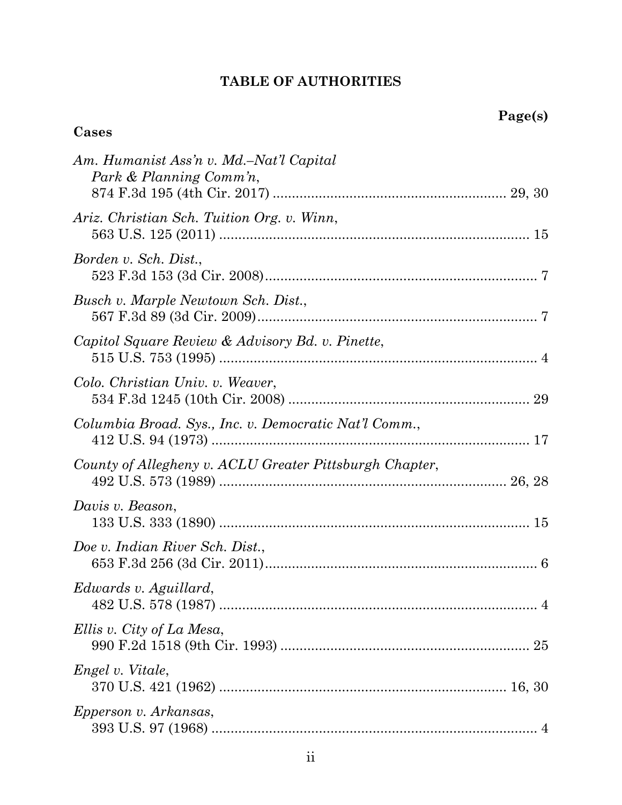## **TABLE OF AUTHORITIES**

## **Cases**

| Am. Humanist Ass'n v. Md.–Nat'l Capital<br>Park & Planning Comm'n, |
|--------------------------------------------------------------------|
| Ariz. Christian Sch. Tuition Org. v. Winn,                         |
| Borden v. Sch. Dist.,                                              |
| Busch v. Marple Newtown Sch. Dist.,                                |
| Capitol Square Review & Advisory Bd. v. Pinette,                   |
| Colo. Christian Univ. v. Weaver,                                   |
| Columbia Broad. Sys., Inc. v. Democratic Nat'l Comm.,              |
| County of Allegheny v. ACLU Greater Pittsburgh Chapter,            |
| Davis v. Beason,                                                   |
| Doe v. Indian River Sch. Dist.,                                    |
| Edwards v. Aguillard,<br>482 U.S. 578 (1987)<br>$\overline{4}$     |
| Ellis v. City of La Mesa,<br>25                                    |
| Engel v. Vitale,                                                   |
| <i>Epperson v. Arkansas,</i>                                       |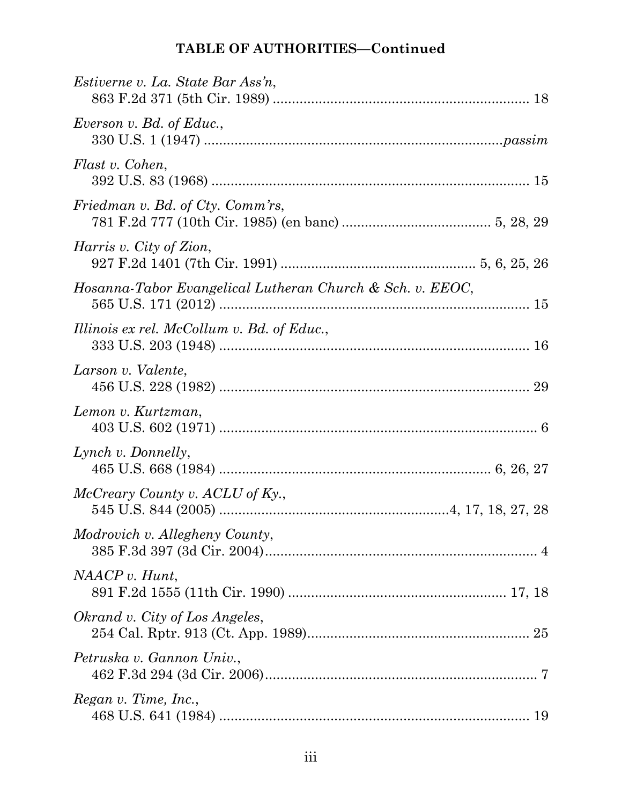| <i>Estiverne v. La. State Bar Ass'n.</i>                  |  |
|-----------------------------------------------------------|--|
| Everson v. Bd. of Educ.,                                  |  |
| Flast v. Cohen,                                           |  |
| Friedman v. Bd. of Cty. Comm'rs,                          |  |
| Harris v. City of Zion,                                   |  |
| Hosanna-Tabor Evangelical Lutheran Church & Sch. v. EEOC, |  |
| Illinois ex rel. McCollum v. Bd. of Educ.,                |  |
| Larson v. Valente,                                        |  |
| Lemon v. Kurtzman,                                        |  |
| Lynch v. Donnelly,                                        |  |
| McCreary County v. ACLU of Ky.,                           |  |
| Modrovich v. Allegheny County,                            |  |
| NAACP v. Hunt,                                            |  |
| Okrand v. City of Los Angeles,                            |  |
| Petruska v. Gannon Univ.,                                 |  |
| Regan v. Time, Inc.,                                      |  |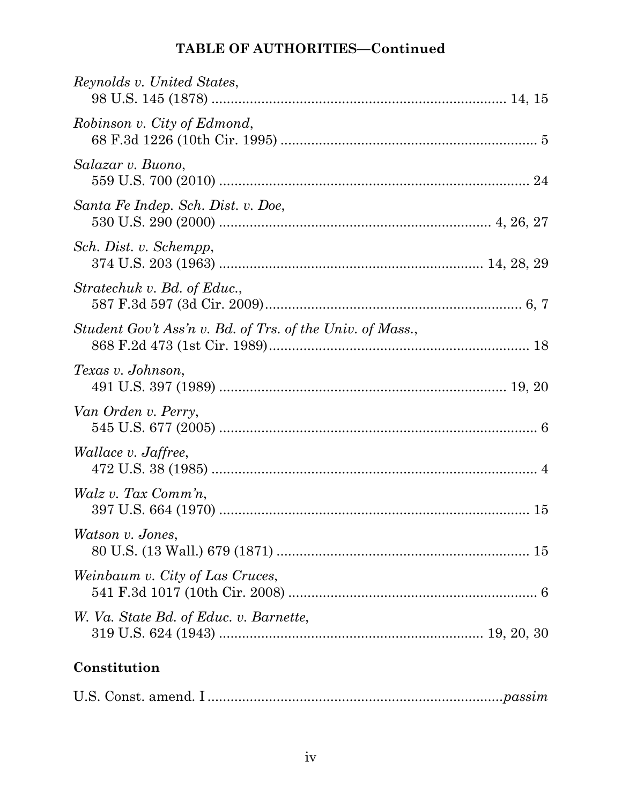| Reynolds v. United States,                                |
|-----------------------------------------------------------|
| Robinson v. City of Edmond,                               |
| Salazar v. Buono,                                         |
| Santa Fe Indep. Sch. Dist. v. Doe,                        |
| Sch. Dist. v. Schempp,                                    |
| Stratechuk v. Bd. of Educ.,                               |
| Student Gov't Ass'n v. Bd. of Trs. of the Univ. of Mass., |
| Texas v. Johnson,                                         |
| Van Orden v. Perry,                                       |
| <i>Wallace v. Jaffree,</i>                                |
| Walz v. Tax Comm'n,                                       |
| Watson v. Jones,                                          |
| Weinbaum v. City of Las Cruces,                           |
| W. Va. State Bd. of Educ. v. Barnette,                    |
| Constitution                                              |

|--|--|--|--|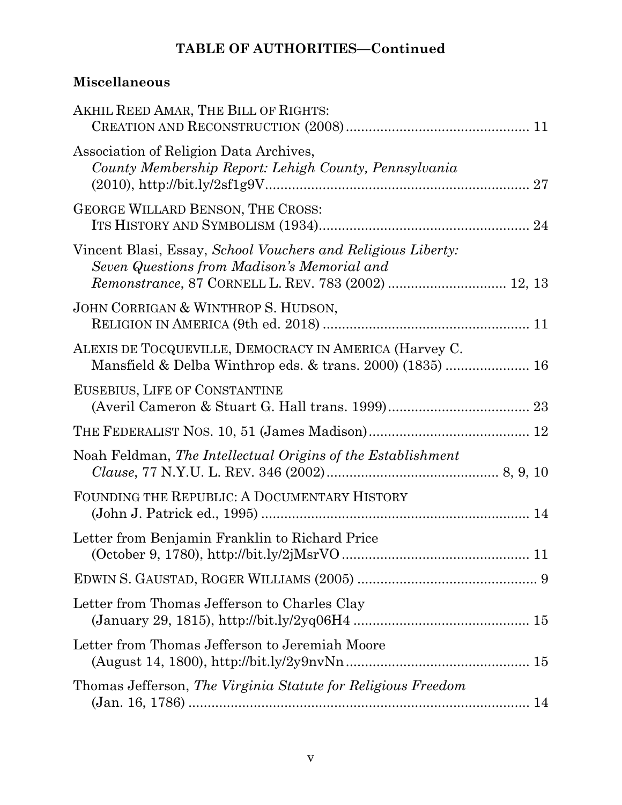# **Miscellaneous**

| AKHIL REED AMAR, THE BILL OF RIGHTS:                                                                                |
|---------------------------------------------------------------------------------------------------------------------|
| Association of Religion Data Archives,<br>County Membership Report: Lehigh County, Pennsylvania                     |
| GEORGE WILLARD BENSON, THE CROSS:                                                                                   |
| Vincent Blasi, Essay, School Vouchers and Religious Liberty:<br>Seven Questions from Madison's Memorial and         |
| JOHN CORRIGAN & WINTHROP S. HUDSON,                                                                                 |
| ALEXIS DE TOCQUEVILLE, DEMOCRACY IN AMERICA (Harvey C.<br>Mansfield & Delba Winthrop eds. & trans. 2000) (1835)  16 |
| EUSEBIUS, LIFE OF CONSTANTINE                                                                                       |
|                                                                                                                     |
| Noah Feldman, The Intellectual Origins of the Establishment                                                         |
| FOUNDING THE REPUBLIC: A DOCUMENTARY HISTORY                                                                        |
| Letter from Benjamin Franklin to Richard Price                                                                      |
|                                                                                                                     |
| Letter from Thomas Jefferson to Charles Clay                                                                        |
| Letter from Thomas Jefferson to Jeremiah Moore                                                                      |
| Thomas Jefferson, The Virginia Statute for Religious Freedom                                                        |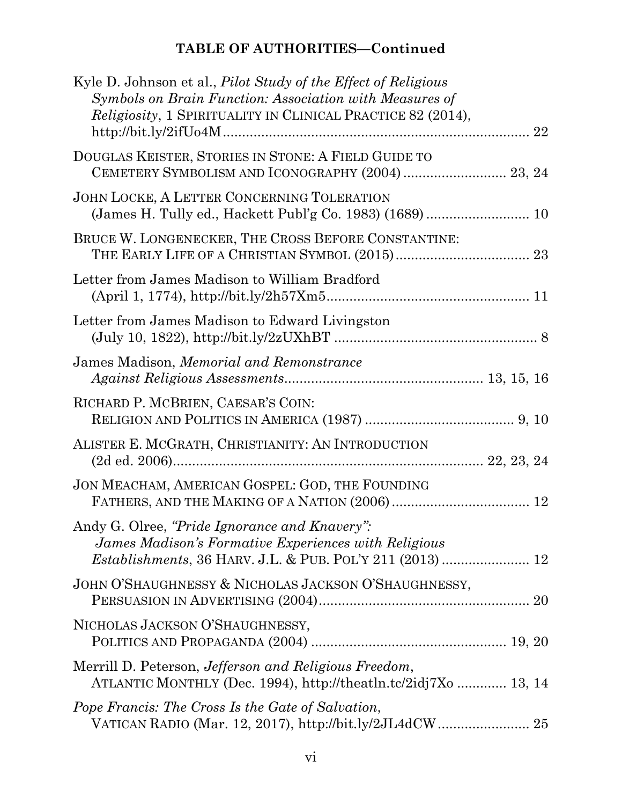| Kyle D. Johnson et al., <i>Pilot Study of the Effect of Religious</i><br>Symbols on Brain Function: Association with Measures of<br><i>Religiosity</i> , 1 SPIRITUALITY IN CLINICAL PRACTICE 82 (2014), |
|---------------------------------------------------------------------------------------------------------------------------------------------------------------------------------------------------------|
| DOUGLAS KEISTER, STORIES IN STONE: A FIELD GUIDE TO<br>CEMETERY SYMBOLISM AND ICONOGRAPHY (2004)  23, 24                                                                                                |
| JOHN LOCKE, A LETTER CONCERNING TOLERATION                                                                                                                                                              |
| BRUCE W. LONGENECKER, THE CROSS BEFORE CONSTANTINE:                                                                                                                                                     |
| Letter from James Madison to William Bradford                                                                                                                                                           |
| Letter from James Madison to Edward Livingston                                                                                                                                                          |
| James Madison, Memorial and Remonstrance                                                                                                                                                                |
| RICHARD P. MCBRIEN, CAESAR'S COIN:                                                                                                                                                                      |
| ALISTER E. MCGRATH, CHRISTIANITY: AN INTRODUCTION                                                                                                                                                       |
| JON MEACHAM, AMERICAN GOSPEL: GOD, THE FOUNDING                                                                                                                                                         |
| Andy G. Olree, "Pride Ignorance and Knavery":<br>James Madison's Formative Experiences with Religious                                                                                                   |
| JOHN O'SHAUGHNESSY & NICHOLAS JACKSON O'SHAUGHNESSY,                                                                                                                                                    |
| NICHOLAS JACKSON O'SHAUGHNESSY,                                                                                                                                                                         |
| Merrill D. Peterson, <i>Jefferson and Religious Freedom</i> ,<br>ATLANTIC MONTHLY (Dec. 1994), http://theatln.tc/2idj7Xo  13, 14                                                                        |
| Pope Francis: The Cross Is the Gate of Salvation,                                                                                                                                                       |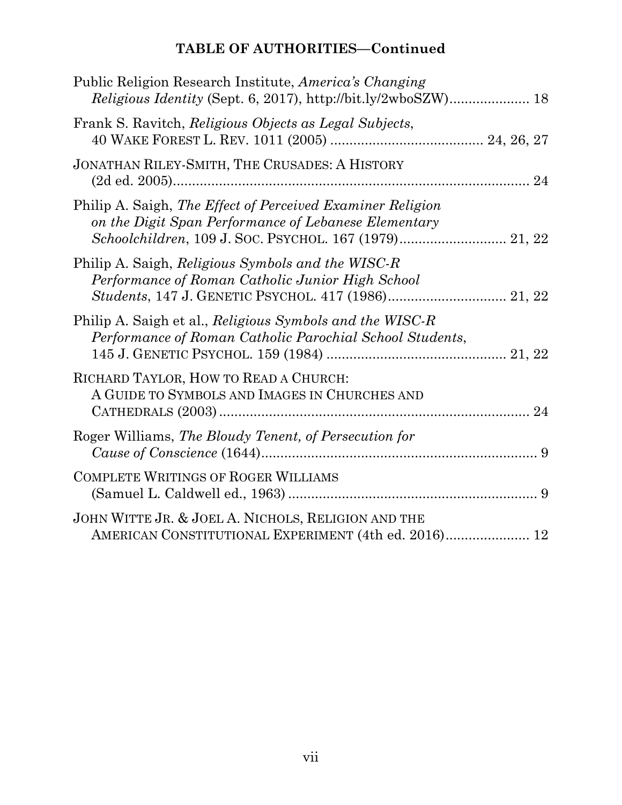| Public Religion Research Institute, <i>America's Changing</i>                                                        |
|----------------------------------------------------------------------------------------------------------------------|
| Frank S. Ravitch, Religious Objects as Legal Subjects,                                                               |
| JONATHAN RILEY-SMITH, THE CRUSADES: A HISTORY                                                                        |
| Philip A. Saigh, The Effect of Perceived Examiner Religion<br>on the Digit Span Performance of Lebanese Elementary   |
| Philip A. Saigh, <i>Religious Symbols and the WISC-R</i><br>Performance of Roman Catholic Junior High School         |
| Philip A. Saigh et al., Religious Symbols and the WISC-R<br>Performance of Roman Catholic Parochial School Students, |
| RICHARD TAYLOR, HOW TO READ A CHURCH:<br>A GUIDE TO SYMBOLS AND IMAGES IN CHURCHES AND                               |
| Roger Williams, The Bloudy Tenent, of Persecution for                                                                |
| <b>COMPLETE WRITINGS OF ROGER WILLIAMS</b>                                                                           |
| JOHN WITTE JR. & JOEL A. NICHOLS, RELIGION AND THE<br>AMERICAN CONSTITUTIONAL EXPERIMENT (4th ed. 2016) 12           |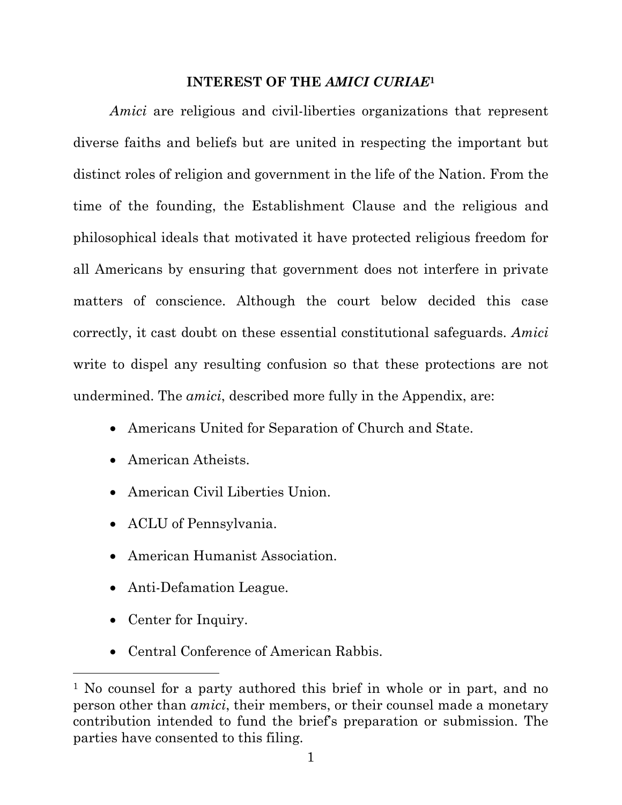#### **INTEREST OF THE** *AMICI CURIAE***<sup>1</sup>**

*Amici* are religious and civil-liberties organizations that represent diverse faiths and beliefs but are united in respecting the important but distinct roles of religion and government in the life of the Nation. From the time of the founding, the Establishment Clause and the religious and philosophical ideals that motivated it have protected religious freedom for all Americans by ensuring that government does not interfere in private matters of conscience. Although the court below decided this case correctly, it cast doubt on these essential constitutional safeguards. *Amici* write to dispel any resulting confusion so that these protections are not undermined. The *amici*, described more fully in the Appendix, are:

- Americans United for Separation of Church and State.
- American Atheists.
- American Civil Liberties Union.
- ACLU of Pennsylvania.
- American Humanist Association.
- Anti-Defamation League.
- Center for Inquiry.

 $\overline{a}$ 

• Central Conference of American Rabbis.

<sup>1</sup> No counsel for a party authored this brief in whole or in part, and no person other than *amici*, their members, or their counsel made a monetary contribution intended to fund the brief's preparation or submission. The parties have consented to this filing.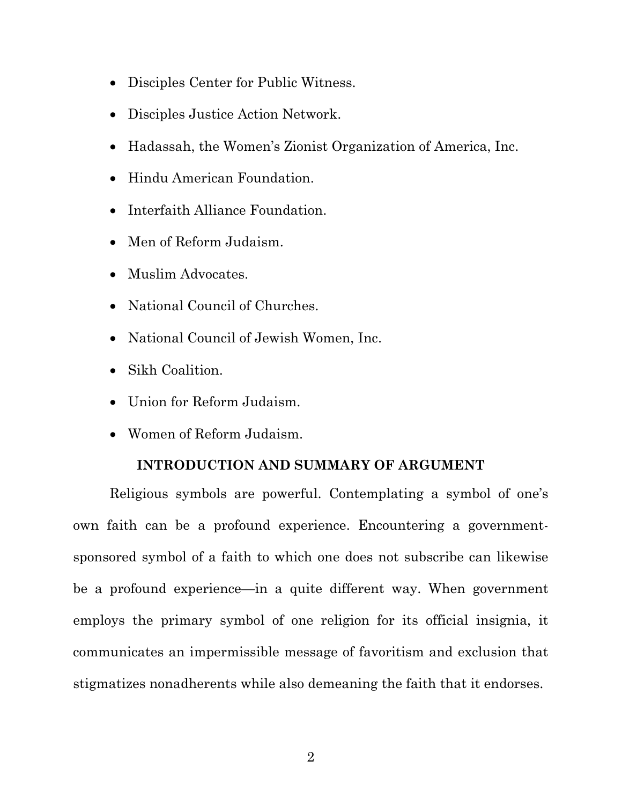- Disciples Center for Public Witness.
- Disciples Justice Action Network.
- Hadassah, the Women's Zionist Organization of America, Inc.
- Hindu American Foundation.
- Interfaith Alliance Foundation.
- Men of Reform Judaism.
- Muslim Advocates.
- National Council of Churches.
- National Council of Jewish Women, Inc.
- Sikh Coalition.
- Union for Reform Judaism.
- Women of Reform Judaism.

## **INTRODUCTION AND SUMMARY OF ARGUMENT**

Religious symbols are powerful. Contemplating a symbol of one's own faith can be a profound experience. Encountering a governmentsponsored symbol of a faith to which one does not subscribe can likewise be a profound experience—in a quite different way. When government employs the primary symbol of one religion for its official insignia, it communicates an impermissible message of favoritism and exclusion that stigmatizes nonadherents while also demeaning the faith that it endorses.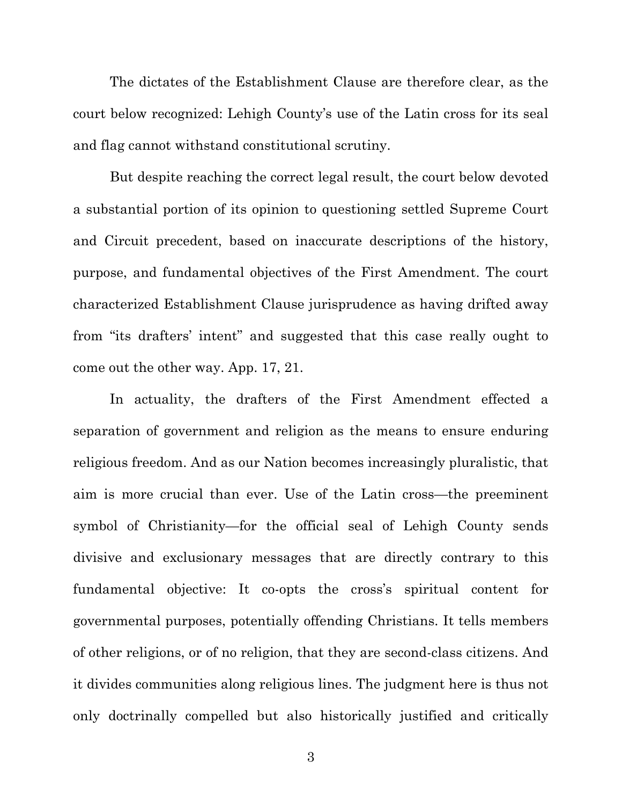The dictates of the Establishment Clause are therefore clear, as the court below recognized: Lehigh County's use of the Latin cross for its seal and flag cannot withstand constitutional scrutiny.

But despite reaching the correct legal result, the court below devoted a substantial portion of its opinion to questioning settled Supreme Court and Circuit precedent, based on inaccurate descriptions of the history, purpose, and fundamental objectives of the First Amendment. The court characterized Establishment Clause jurisprudence as having drifted away from "its drafters' intent" and suggested that this case really ought to come out the other way. App. 17, 21.

In actuality, the drafters of the First Amendment effected a separation of government and religion as the means to ensure enduring religious freedom. And as our Nation becomes increasingly pluralistic, that aim is more crucial than ever. Use of the Latin cross—the preeminent symbol of Christianity—for the official seal of Lehigh County sends divisive and exclusionary messages that are directly contrary to this fundamental objective: It co-opts the cross's spiritual content for governmental purposes, potentially offending Christians. It tells members of other religions, or of no religion, that they are second-class citizens. And it divides communities along religious lines. The judgment here is thus not only doctrinally compelled but also historically justified and critically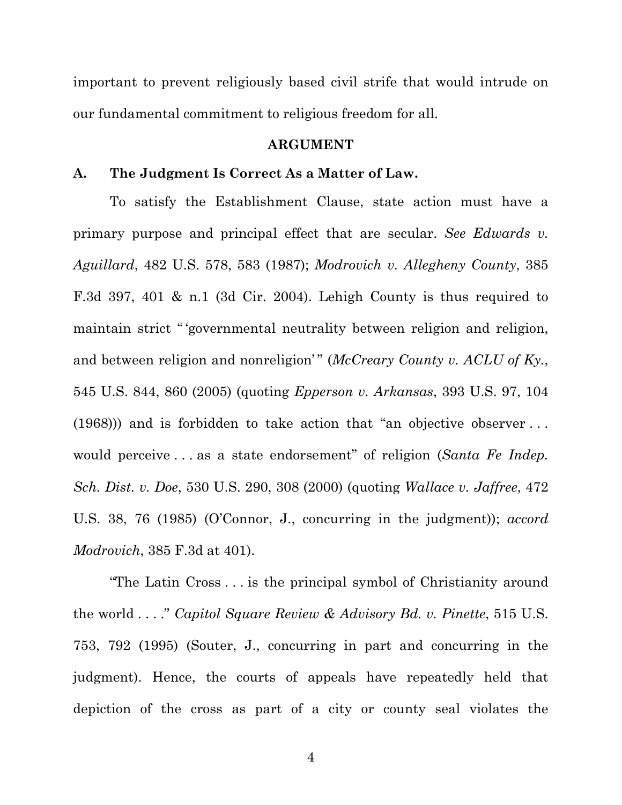important to prevent religiously based civil strife that would intrude on our fundamental commitment to religious freedom for all.

#### **ARGUMENT**

#### **A. The Judgment Is Correct As a Matter of Law.**

To satisfy the Establishment Clause, state action must have a primary purpose and principal effect that are secular. *See Edwards v. Aguillard*, 482 U.S. 578, 583 (1987); *Modrovich v. Allegheny County*, 385 F.3d 397, 401 & n.1 (3d Cir. 2004). Lehigh County is thus required to maintain strict " 'governmental neutrality between religion and religion, and between religion and nonreligion'" (*McCreary County v. ACLU of Ky.*, 545 U.S. 844, 860 (2005) (quoting *Epperson v. Arkansas*, 393 U.S. 97, 104 (1968))) and is forbidden to take action that "an objective observer . . . would perceive . . . as a state endorsement" of religion (*Santa Fe Indep. Sch. Dist. v. Doe*, 530 U.S. 290, 308 (2000) (quoting *Wallace v. Jaffree*, 472 U.S. 38, 76 (1985) (O'Connor, J., concurring in the judgment)); *accord Modrovich*, 385 F.3d at 401).

"The Latin Cross . . . is the principal symbol of Christianity around the world . . . ." *Capitol Square Review & Advisory Bd. v. Pinette*, 515 U.S. 753, 792 (1995) (Souter, J., concurring in part and concurring in the judgment). Hence, the courts of appeals have repeatedly held that depiction of the cross as part of a city or county seal violates the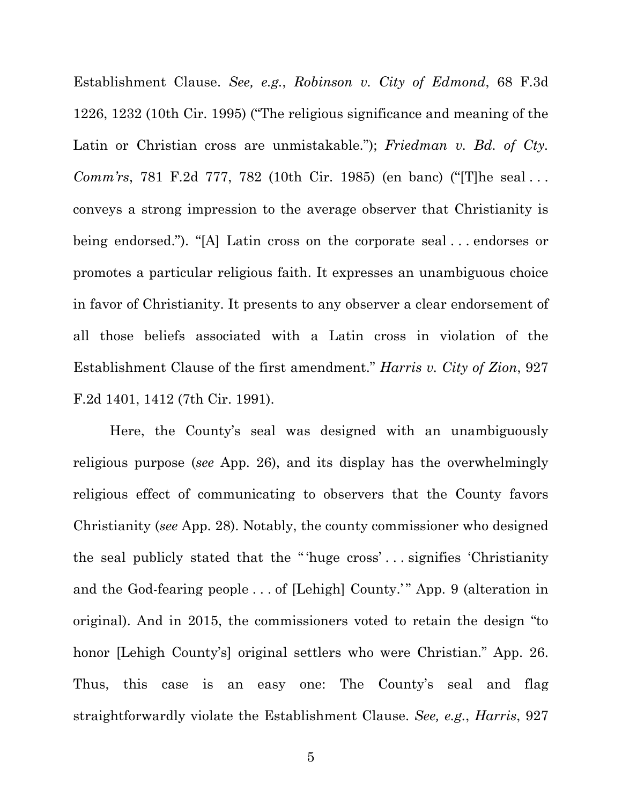Establishment Clause. *See, e.g.*, *Robinson v. City of Edmond*, 68 F.3d 1226, 1232 (10th Cir. 1995) ("The religious significance and meaning of the Latin or Christian cross are unmistakable."); *Friedman v. Bd. of Cty. Comm'rs*, 781 F.2d 777, 782 (10th Cir. 1985) (en banc) ("[T]he seal . . . conveys a strong impression to the average observer that Christianity is being endorsed."). "[A] Latin cross on the corporate seal . . . endorses or promotes a particular religious faith. It expresses an unambiguous choice in favor of Christianity. It presents to any observer a clear endorsement of all those beliefs associated with a Latin cross in violation of the Establishment Clause of the first amendment." *Harris v. City of Zion*, 927 F.2d 1401, 1412 (7th Cir. 1991).

Here, the County's seal was designed with an unambiguously religious purpose (*see* App. 26), and its display has the overwhelmingly religious effect of communicating to observers that the County favors Christianity (*see* App. 28). Notably, the county commissioner who designed the seal publicly stated that the " 'huge cross' . . . signifies 'Christianity and the God-fearing people . . . of [Lehigh] County.'" App. 9 (alteration in original). And in 2015, the commissioners voted to retain the design "to honor [Lehigh County's] original settlers who were Christian." App. 26. Thus, this case is an easy one: The County's seal and flag straightforwardly violate the Establishment Clause. *See, e.g.*, *Harris*, 927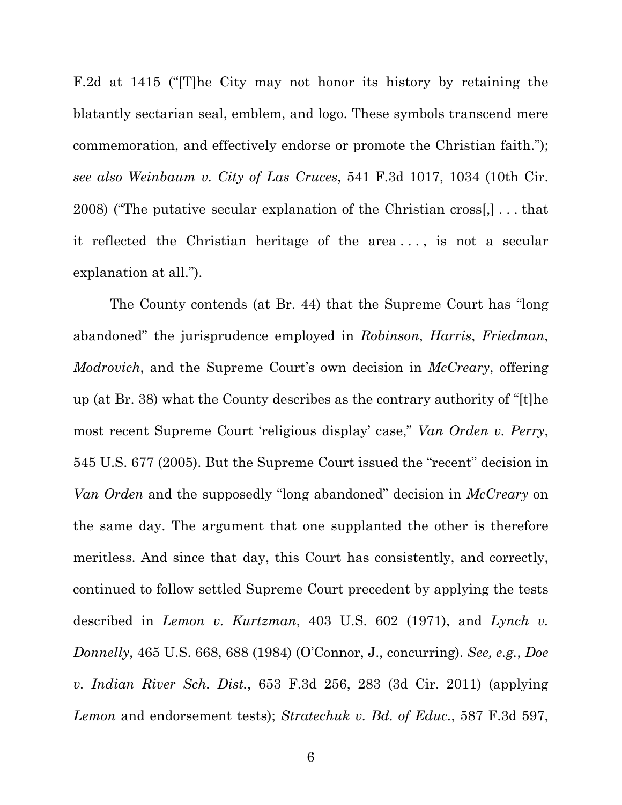F.2d at 1415 ("[T]he City may not honor its history by retaining the blatantly sectarian seal, emblem, and logo. These symbols transcend mere commemoration, and effectively endorse or promote the Christian faith."); *see also Weinbaum v. City of Las Cruces*, 541 F.3d 1017, 1034 (10th Cir. 2008) ("The putative secular explanation of the Christian cross[,] . . . that it reflected the Christian heritage of the area . . . , is not a secular explanation at all.").

The County contends (at Br. 44) that the Supreme Court has "long abandoned" the jurisprudence employed in *Robinson*, *Harris*, *Friedman*, *Modrovich*, and the Supreme Court's own decision in *McCreary*, offering up (at Br. 38) what the County describes as the contrary authority of "[t]he most recent Supreme Court 'religious display' case," *Van Orden v. Perry*, 545 U.S. 677 (2005). But the Supreme Court issued the "recent" decision in *Van Orden* and the supposedly "long abandoned" decision in *McCreary* on the same day. The argument that one supplanted the other is therefore meritless. And since that day, this Court has consistently, and correctly, continued to follow settled Supreme Court precedent by applying the tests described in *Lemon v. Kurtzman*, 403 U.S. 602 (1971), and *Lynch v. Donnelly*, 465 U.S. 668, 688 (1984) (O'Connor, J., concurring). *See, e.g.*, *Doe v. Indian River Sch. Dist.*, 653 F.3d 256, 283 (3d Cir. 2011) (applying *Lemon* and endorsement tests); *Stratechuk v. Bd. of Educ.*, 587 F.3d 597,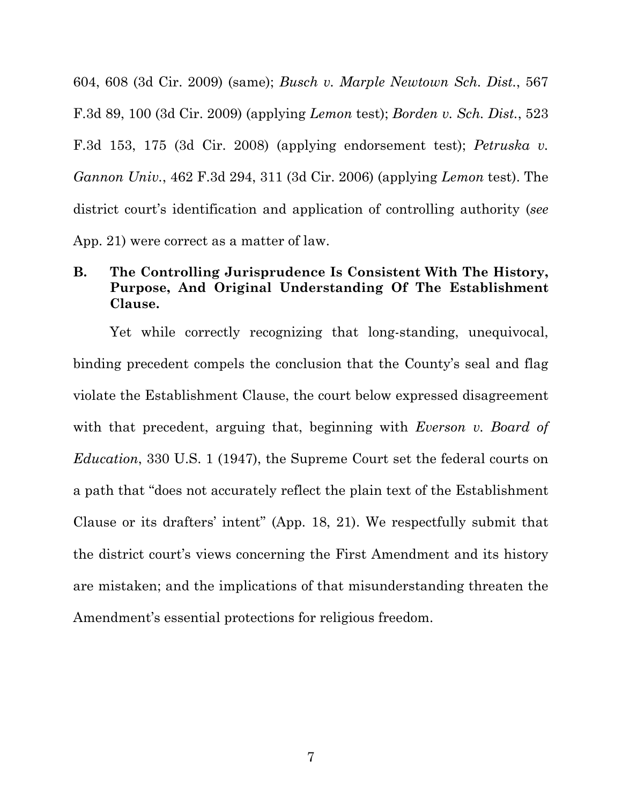604, 608 (3d Cir. 2009) (same); *Busch v. Marple Newtown Sch. Dist.*, 567 F.3d 89, 100 (3d Cir. 2009) (applying *Lemon* test); *Borden v. Sch. Dist.*, 523 F.3d 153, 175 (3d Cir. 2008) (applying endorsement test); *Petruska v. Gannon Univ.*, 462 F.3d 294, 311 (3d Cir. 2006) (applying *Lemon* test). The district court's identification and application of controlling authority (*see* App. 21) were correct as a matter of law.

## **B. The Controlling Jurisprudence Is Consistent With The History, Purpose, And Original Understanding Of The Establishment Clause.**

Yet while correctly recognizing that long-standing, unequivocal, binding precedent compels the conclusion that the County's seal and flag violate the Establishment Clause, the court below expressed disagreement with that precedent, arguing that, beginning with *Everson v. Board of Education*, 330 U.S. 1 (1947), the Supreme Court set the federal courts on a path that "does not accurately reflect the plain text of the Establishment Clause or its drafters' intent" (App. 18, 21). We respectfully submit that the district court's views concerning the First Amendment and its history are mistaken; and the implications of that misunderstanding threaten the Amendment's essential protections for religious freedom.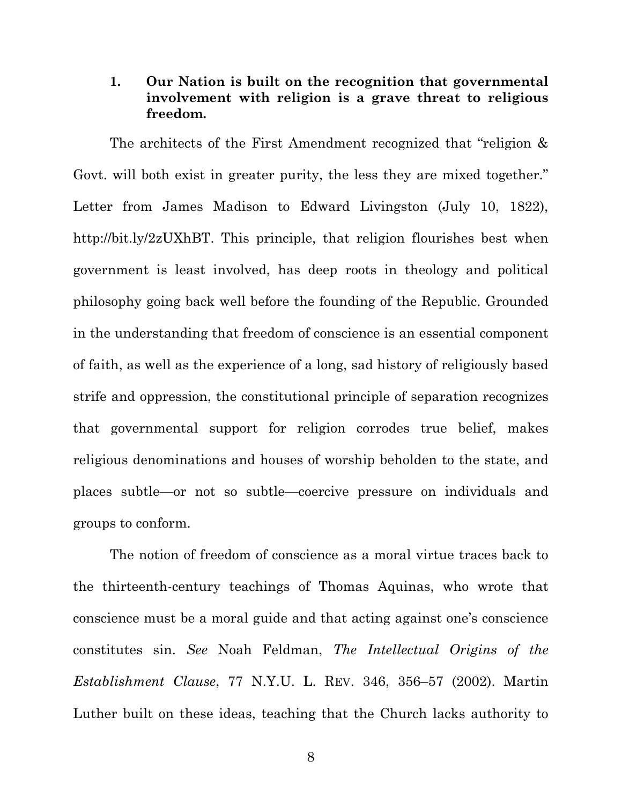## **1. Our Nation is built on the recognition that governmental involvement with religion is a grave threat to religious freedom.**

The architects of the First Amendment recognized that "religion & Govt. will both exist in greater purity, the less they are mixed together." Letter from James Madison to Edward Livingston (July 10, 1822), http://bit.ly/2zUXhBT. This principle, that religion flourishes best when government is least involved, has deep roots in theology and political philosophy going back well before the founding of the Republic. Grounded in the understanding that freedom of conscience is an essential component of faith, as well as the experience of a long, sad history of religiously based strife and oppression, the constitutional principle of separation recognizes that governmental support for religion corrodes true belief, makes religious denominations and houses of worship beholden to the state, and places subtle—or not so subtle—coercive pressure on individuals and groups to conform.

The notion of freedom of conscience as a moral virtue traces back to the thirteenth-century teachings of Thomas Aquinas, who wrote that conscience must be a moral guide and that acting against one's conscience constitutes sin. *See* Noah Feldman, *The Intellectual Origins of the Establishment Clause*, 77 N.Y.U. L. REV. 346, 356–57 (2002). Martin Luther built on these ideas, teaching that the Church lacks authority to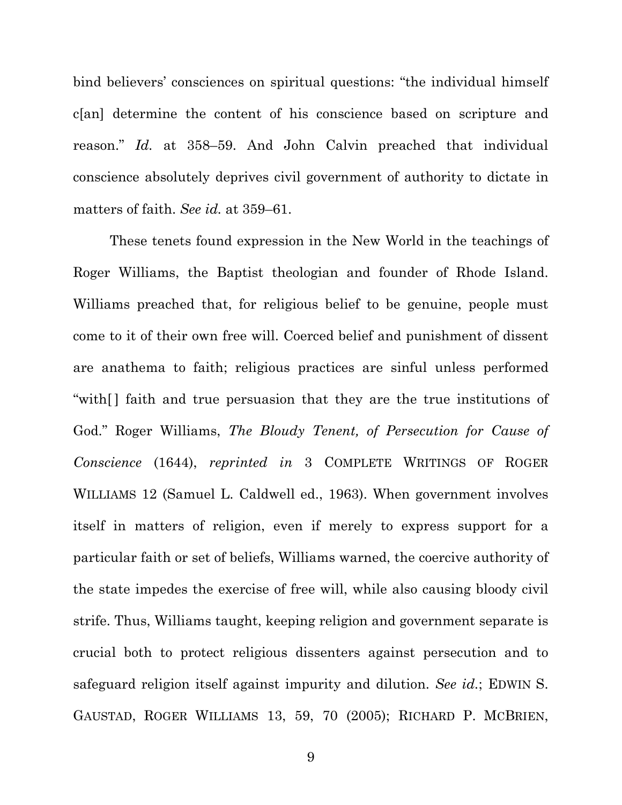bind believers' consciences on spiritual questions: "the individual himself c[an] determine the content of his conscience based on scripture and reason." *Id.* at 358–59. And John Calvin preached that individual conscience absolutely deprives civil government of authority to dictate in matters of faith. *See id.* at 359–61.

These tenets found expression in the New World in the teachings of Roger Williams, the Baptist theologian and founder of Rhode Island. Williams preached that, for religious belief to be genuine, people must come to it of their own free will. Coerced belief and punishment of dissent are anathema to faith; religious practices are sinful unless performed "with  $\lceil$  faith and true persuasion that they are the true institutions of God." Roger Williams, *The Bloudy Tenent, of Persecution for Cause of Conscience* (1644), *reprinted in* 3 COMPLETE WRITINGS OF ROGER WILLIAMS 12 (Samuel L. Caldwell ed., 1963). When government involves itself in matters of religion, even if merely to express support for a particular faith or set of beliefs, Williams warned, the coercive authority of the state impedes the exercise of free will, while also causing bloody civil strife. Thus, Williams taught, keeping religion and government separate is crucial both to protect religious dissenters against persecution and to safeguard religion itself against impurity and dilution. *See id.*; EDWIN S. GAUSTAD, ROGER WILLIAMS 13, 59, 70 (2005); RICHARD P. MCBRIEN,

9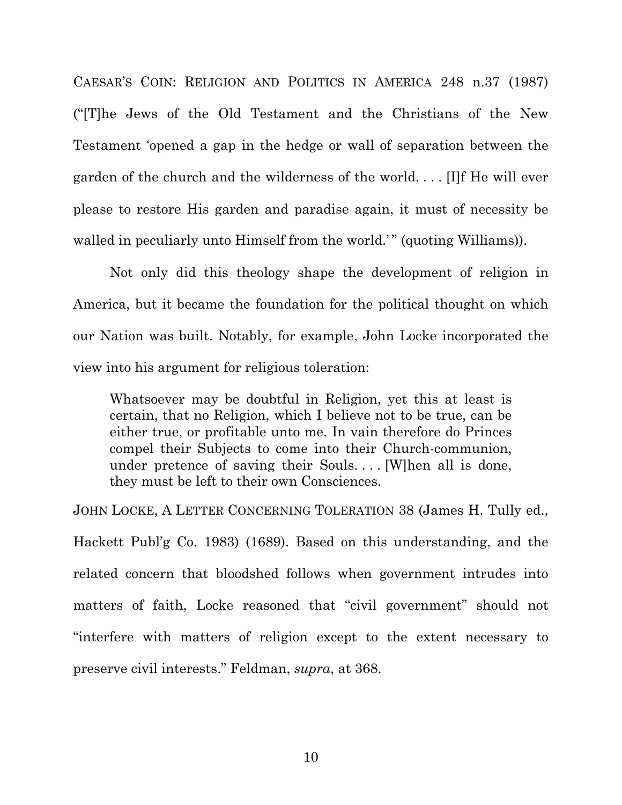CAESAR'S COIN: RELIGION AND POLITICS IN AMERICA 248 n.37 (1987) ("[T]he Jews of the Old Testament and the Christians of the New Testament 'opened a gap in the hedge or wall of separation between the garden of the church and the wilderness of the world. . . . [I]f He will ever please to restore His garden and paradise again, it must of necessity be walled in peculiarly unto Himself from the world.'" (quoting Williams)).

Not only did this theology shape the development of religion in America, but it became the foundation for the political thought on which our Nation was built. Notably, for example, John Locke incorporated the view into his argument for religious toleration:

Whatsoever may be doubtful in Religion, yet this at least is certain, that no Religion, which I believe not to be true, can be either true, or profitable unto me. In vain therefore do Princes compel their Subjects to come into their Church-communion, under pretence of saving their Souls. . . . [W]hen all is done, they must be left to their own Consciences.

JOHN LOCKE, A LETTER CONCERNING TOLERATION 38 (James H. Tully ed., Hackett Publ'g Co. 1983) (1689). Based on this understanding, and the related concern that bloodshed follows when government intrudes into matters of faith, Locke reasoned that "civil government" should not "interfere with matters of religion except to the extent necessary to preserve civil interests." Feldman, *supra*, at 368.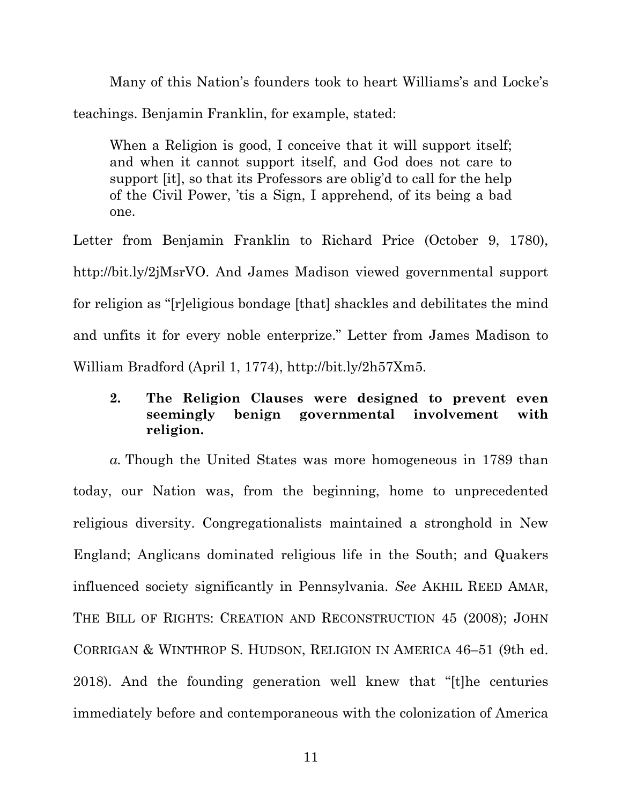Many of this Nation's founders took to heart Williams's and Locke's teachings. Benjamin Franklin, for example, stated:

When a Religion is good, I conceive that it will support itself; and when it cannot support itself, and God does not care to support [it], so that its Professors are oblig'd to call for the help of the Civil Power, 'tis a Sign, I apprehend, of its being a bad one.

Letter from Benjamin Franklin to Richard Price (October 9, 1780), http://bit.ly/2jMsrVO. And James Madison viewed governmental support for religion as "[r]eligious bondage [that] shackles and debilitates the mind and unfits it for every noble enterprize." Letter from James Madison to William Bradford (April 1, 1774), http://bit.ly/2h57Xm5.

## **2. The Religion Clauses were designed to prevent even seemingly benign governmental involvement with religion.**

*a.* Though the United States was more homogeneous in 1789 than today, our Nation was, from the beginning, home to unprecedented religious diversity. Congregationalists maintained a stronghold in New England; Anglicans dominated religious life in the South; and Quakers influenced society significantly in Pennsylvania. *See* AKHIL REED AMAR, THE BILL OF RIGHTS: CREATION AND RECONSTRUCTION 45 (2008); JOHN CORRIGAN & WINTHROP S. HUDSON, RELIGION IN AMERICA 46–51 (9th ed. 2018). And the founding generation well knew that "[t]he centuries immediately before and contemporaneous with the colonization of America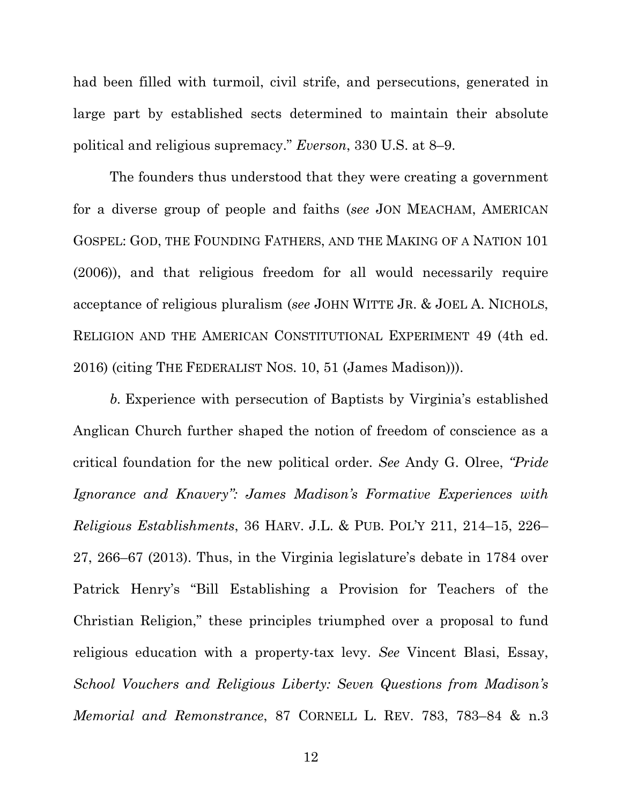had been filled with turmoil, civil strife, and persecutions, generated in large part by established sects determined to maintain their absolute political and religious supremacy." *Everson*, 330 U.S. at 8–9.

The founders thus understood that they were creating a government for a diverse group of people and faiths (*see* JON MEACHAM, AMERICAN GOSPEL: GOD, THE FOUNDING FATHERS, AND THE MAKING OF A NATION 101 (2006)), and that religious freedom for all would necessarily require acceptance of religious pluralism (*see* JOHN WITTE JR. & JOEL A. NICHOLS, RELIGION AND THE AMERICAN CONSTITUTIONAL EXPERIMENT 49 (4th ed. 2016) (citing THE FEDERALIST NOS. 10, 51 (James Madison))).

*b.* Experience with persecution of Baptists by Virginia's established Anglican Church further shaped the notion of freedom of conscience as a critical foundation for the new political order. *See* Andy G. Olree, *"Pride Ignorance and Knavery": James Madison's Formative Experiences with Religious Establishments*, 36 HARV. J.L. & PUB. POL'Y 211, 214–15, 226– 27, 266–67 (2013). Thus, in the Virginia legislature's debate in 1784 over Patrick Henry's "Bill Establishing a Provision for Teachers of the Christian Religion," these principles triumphed over a proposal to fund religious education with a property-tax levy. *See* Vincent Blasi, Essay, *School Vouchers and Religious Liberty: Seven Questions from Madison's Memorial and Remonstrance*, 87 CORNELL L. REV. 783, 783–84 & n.3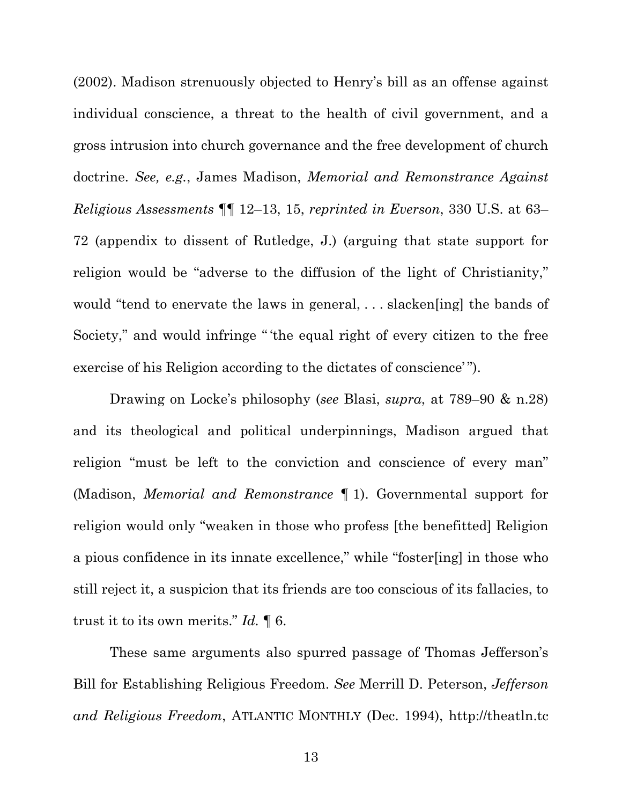(2002). Madison strenuously objected to Henry's bill as an offense against individual conscience, a threat to the health of civil government, and a gross intrusion into church governance and the free development of church doctrine. *See, e.g.*, James Madison, *Memorial and Remonstrance Against Religious Assessments* ¶¶ 12–13, 15, *reprinted in Everson*, 330 U.S. at 63– 72 (appendix to dissent of Rutledge, J.) (arguing that state support for religion would be "adverse to the diffusion of the light of Christianity," would "tend to enervate the laws in general, ... slacken [ing] the bands of Society," and would infringe " 'the equal right of every citizen to the free exercise of his Religion according to the dictates of conscience'").

Drawing on Locke's philosophy (*see* Blasi, *supra*, at 789–90 & n.28) and its theological and political underpinnings, Madison argued that religion "must be left to the conviction and conscience of every man" (Madison, *Memorial and Remonstrance* ¶ 1). Governmental support for religion would only "weaken in those who profess [the benefitted] Religion a pious confidence in its innate excellence," while "foster[ing] in those who still reject it, a suspicion that its friends are too conscious of its fallacies, to trust it to its own merits." *Id.* ¶ 6.

These same arguments also spurred passage of Thomas Jefferson's Bill for Establishing Religious Freedom. *See* Merrill D. Peterson, *Jefferson and Religious Freedom*, ATLANTIC MONTHLY (Dec. 1994), http://theatln.tc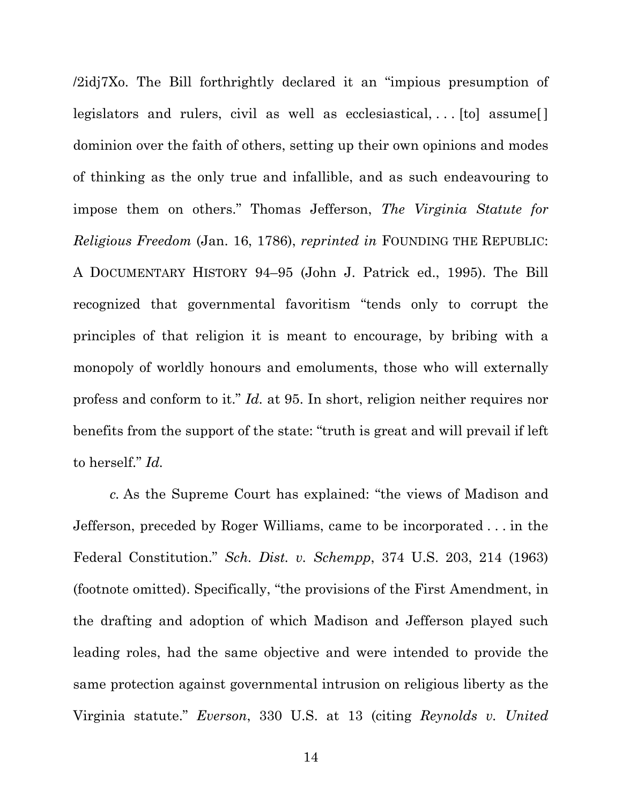/2idj7Xo. The Bill forthrightly declared it an "impious presumption of legislators and rulers, civil as well as ecclesiastical, ... [to] assume[] dominion over the faith of others, setting up their own opinions and modes of thinking as the only true and infallible, and as such endeavouring to impose them on others." Thomas Jefferson, *The Virginia Statute for Religious Freedom* (Jan. 16, 1786), *reprinted in* FOUNDING THE REPUBLIC: A DOCUMENTARY HISTORY 94–95 (John J. Patrick ed., 1995). The Bill recognized that governmental favoritism "tends only to corrupt the principles of that religion it is meant to encourage, by bribing with a monopoly of worldly honours and emoluments, those who will externally profess and conform to it." *Id.* at 95. In short, religion neither requires nor benefits from the support of the state: "truth is great and will prevail if left to herself." *Id.*

*c.* As the Supreme Court has explained: "the views of Madison and Jefferson, preceded by Roger Williams, came to be incorporated . . . in the Federal Constitution." *Sch. Dist. v. Schempp*, 374 U.S. 203, 214 (1963) (footnote omitted). Specifically, "the provisions of the First Amendment, in the drafting and adoption of which Madison and Jefferson played such leading roles, had the same objective and were intended to provide the same protection against governmental intrusion on religious liberty as the Virginia statute." *Everson*, 330 U.S. at 13 (citing *Reynolds v. United*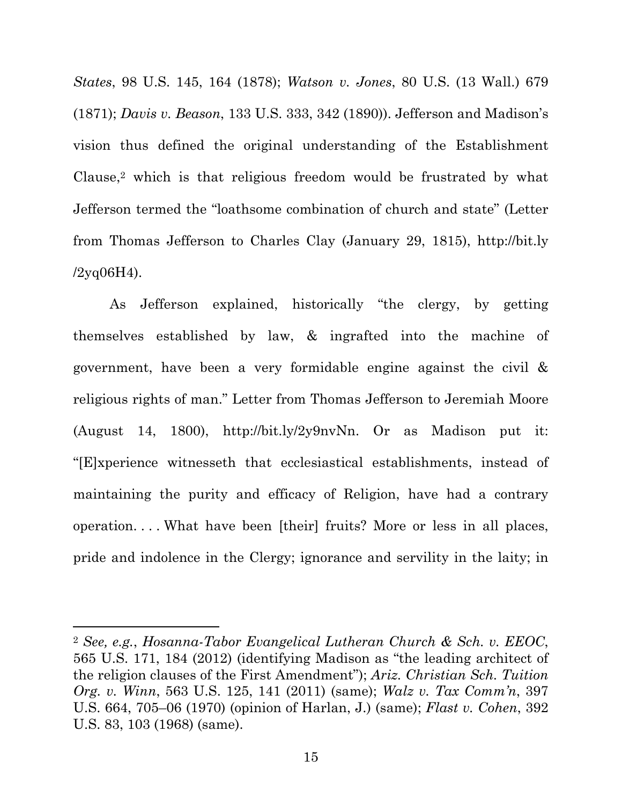*States*, 98 U.S. 145, 164 (1878); *Watson v. Jones*, 80 U.S. (13 Wall.) 679 (1871); *Davis v. Beason*, 133 U.S. 333, 342 (1890)). Jefferson and Madison's vision thus defined the original understanding of the Establishment Clause,2 which is that religious freedom would be frustrated by what Jefferson termed the "loathsome combination of church and state" (Letter from Thomas Jefferson to Charles Clay (January 29, 1815), http://bit.ly  $/2yq06H4$ ).

As Jefferson explained, historically "the clergy, by getting themselves established by law, & ingrafted into the machine of government, have been a very formidable engine against the civil & religious rights of man." Letter from Thomas Jefferson to Jeremiah Moore (August 14, 1800), http://bit.ly/2y9nvNn. Or as Madison put it: "[E]xperience witnesseth that ecclesiastical establishments, instead of maintaining the purity and efficacy of Religion, have had a contrary operation. . . . What have been [their] fruits? More or less in all places, pride and indolence in the Clergy; ignorance and servility in the laity; in

 $\overline{a}$ 

<sup>2</sup> *See, e.g.*, *Hosanna-Tabor Evangelical Lutheran Church & Sch. v. EEOC*, 565 U.S. 171, 184 (2012) (identifying Madison as "the leading architect of the religion clauses of the First Amendment"); *Ariz. Christian Sch. Tuition Org. v. Winn*, 563 U.S. 125, 141 (2011) (same); *Walz v. Tax Comm'n*, 397 U.S. 664, 705–06 (1970) (opinion of Harlan, J.) (same); *Flast v. Cohen*, 392 U.S. 83, 103 (1968) (same).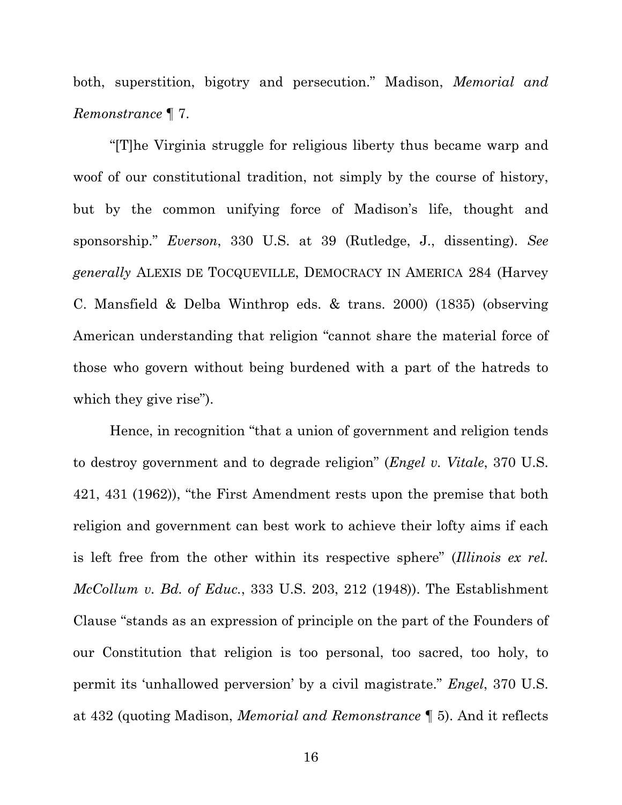both, superstition, bigotry and persecution." Madison, *Memorial and Remonstrance* ¶ 7.

"[T]he Virginia struggle for religious liberty thus became warp and woof of our constitutional tradition, not simply by the course of history, but by the common unifying force of Madison's life, thought and sponsorship." *Everson*, 330 U.S. at 39 (Rutledge, J., dissenting). *See generally* ALEXIS DE TOCQUEVILLE, DEMOCRACY IN AMERICA 284 (Harvey C. Mansfield & Delba Winthrop eds. & trans. 2000) (1835) (observing American understanding that religion "cannot share the material force of those who govern without being burdened with a part of the hatreds to which they give rise").

Hence, in recognition "that a union of government and religion tends to destroy government and to degrade religion" (*Engel v. Vitale*, 370 U.S. 421, 431 (1962)), "the First Amendment rests upon the premise that both religion and government can best work to achieve their lofty aims if each is left free from the other within its respective sphere" (*Illinois ex rel. McCollum v. Bd. of Educ.*, 333 U.S. 203, 212 (1948)). The Establishment Clause "stands as an expression of principle on the part of the Founders of our Constitution that religion is too personal, too sacred, too holy, to permit its 'unhallowed perversion' by a civil magistrate." *Engel*, 370 U.S. at 432 (quoting Madison, *Memorial and Remonstrance* ¶ 5). And it reflects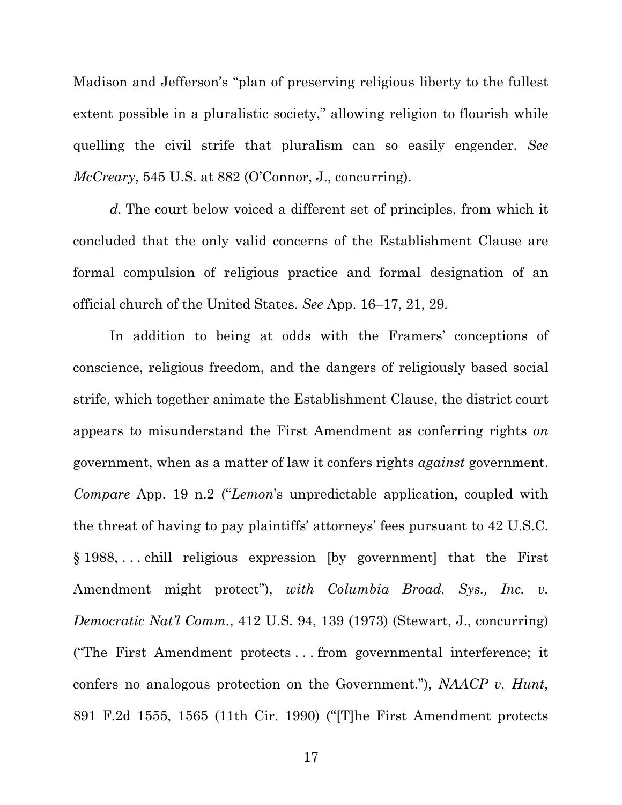Madison and Jefferson's "plan of preserving religious liberty to the fullest extent possible in a pluralistic society," allowing religion to flourish while quelling the civil strife that pluralism can so easily engender. *See McCreary*, 545 U.S. at 882 (O'Connor, J., concurring).

*d.* The court below voiced a different set of principles, from which it concluded that the only valid concerns of the Establishment Clause are formal compulsion of religious practice and formal designation of an official church of the United States. *See* App. 16–17, 21, 29.

In addition to being at odds with the Framers' conceptions of conscience, religious freedom, and the dangers of religiously based social strife, which together animate the Establishment Clause, the district court appears to misunderstand the First Amendment as conferring rights *on* government, when as a matter of law it confers rights *against* government. *Compare* App. 19 n.2 ("*Lemon*'s unpredictable application, coupled with the threat of having to pay plaintiffs' attorneys' fees pursuant to 42 U.S.C. § 1988, . . . chill religious expression [by government] that the First Amendment might protect"), *with Columbia Broad. Sys., Inc. v. Democratic Nat'l Comm.*, 412 U.S. 94, 139 (1973) (Stewart, J., concurring) ("The First Amendment protects . . . from governmental interference; it confers no analogous protection on the Government."), *NAACP v. Hunt*, 891 F.2d 1555, 1565 (11th Cir. 1990) ("[T]he First Amendment protects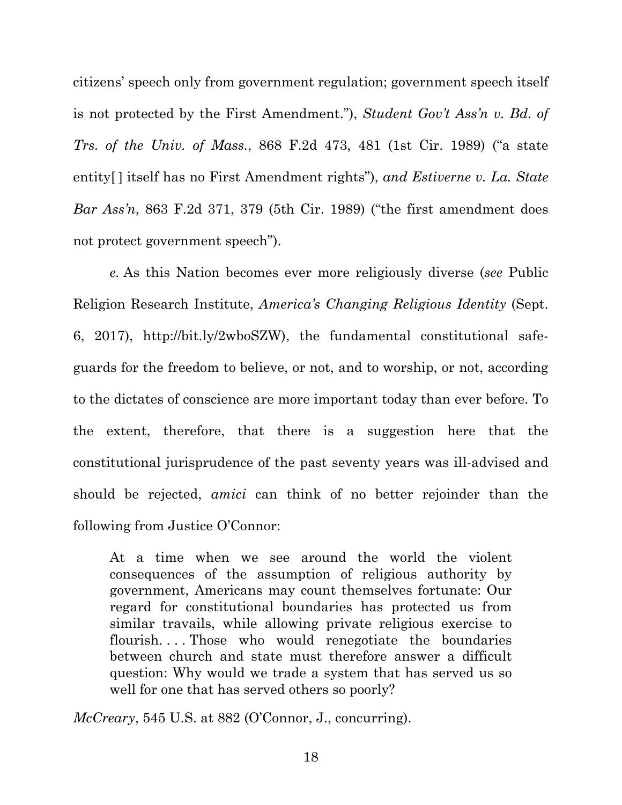citizens' speech only from government regulation; government speech itself is not protected by the First Amendment."), *Student Gov't Ass'n v. Bd. of Trs. of the Univ. of Mass.*, 868 F.2d 473, 481 (1st Cir. 1989) ("a state entity[ ] itself has no First Amendment rights"), *and Estiverne v. La. State Bar Ass'n*, 863 F.2d 371, 379 (5th Cir. 1989) ("the first amendment does not protect government speech").

*e.* As this Nation becomes ever more religiously diverse (*see* Public Religion Research Institute, *America's Changing Religious Identity* (Sept. 6, 2017), http://bit.ly/2wboSZW), the fundamental constitutional safeguards for the freedom to believe, or not, and to worship, or not, according to the dictates of conscience are more important today than ever before. To the extent, therefore, that there is a suggestion here that the constitutional jurisprudence of the past seventy years was ill-advised and should be rejected, *amici* can think of no better rejoinder than the following from Justice O'Connor:

At a time when we see around the world the violent consequences of the assumption of religious authority by government, Americans may count themselves fortunate: Our regard for constitutional boundaries has protected us from similar travails, while allowing private religious exercise to flourish. . . . Those who would renegotiate the boundaries between church and state must therefore answer a difficult question: Why would we trade a system that has served us so well for one that has served others so poorly?

*McCreary*, 545 U.S. at 882 (O'Connor, J., concurring).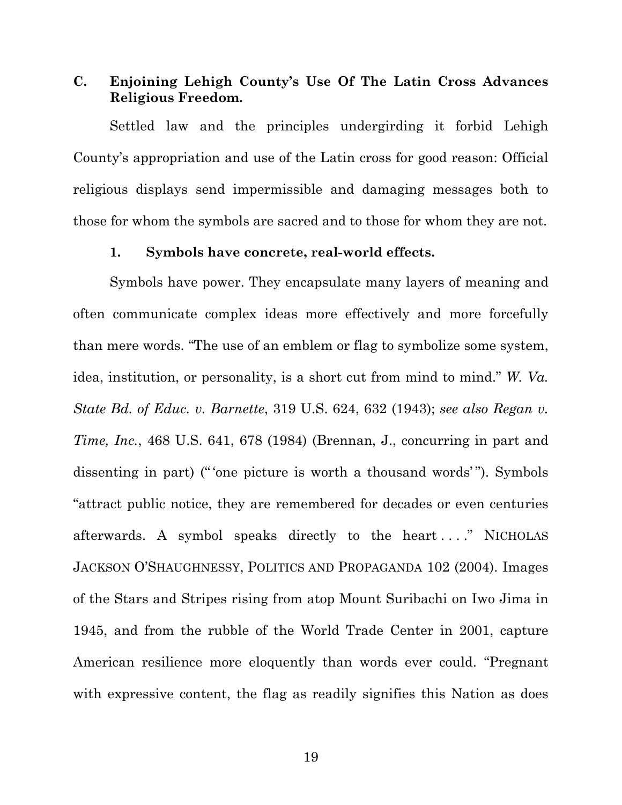## **C. Enjoining Lehigh County's Use Of The Latin Cross Advances Religious Freedom.**

Settled law and the principles undergirding it forbid Lehigh County's appropriation and use of the Latin cross for good reason: Official religious displays send impermissible and damaging messages both to those for whom the symbols are sacred and to those for whom they are not.

#### **1. Symbols have concrete, real-world effects.**

Symbols have power. They encapsulate many layers of meaning and often communicate complex ideas more effectively and more forcefully than mere words. "The use of an emblem or flag to symbolize some system, idea, institution, or personality, is a short cut from mind to mind." *W. Va. State Bd. of Educ. v. Barnette*, 319 U.S. 624, 632 (1943); *see also Regan v. Time, Inc.*, 468 U.S. 641, 678 (1984) (Brennan, J., concurring in part and dissenting in part) ("'one picture is worth a thousand words'"). Symbols "attract public notice, they are remembered for decades or even centuries afterwards. A symbol speaks directly to the heart . . . ." NICHOLAS JACKSON O'SHAUGHNESSY, POLITICS AND PROPAGANDA 102 (2004). Images of the Stars and Stripes rising from atop Mount Suribachi on Iwo Jima in 1945, and from the rubble of the World Trade Center in 2001, capture American resilience more eloquently than words ever could. "Pregnant with expressive content, the flag as readily signifies this Nation as does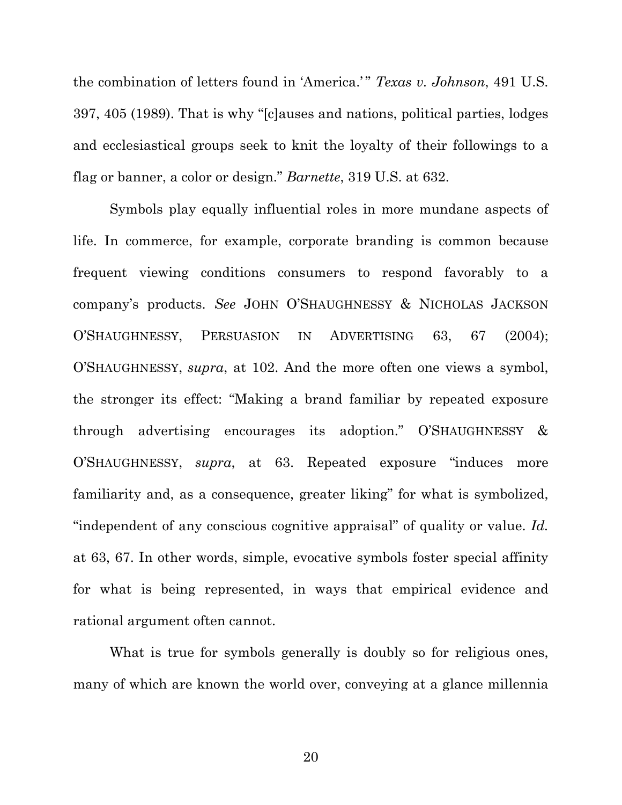the combination of letters found in 'America.' " *Texas v. Johnson*, 491 U.S. 397, 405 (1989). That is why "[c]auses and nations, political parties, lodges and ecclesiastical groups seek to knit the loyalty of their followings to a flag or banner, a color or design." *Barnette*, 319 U.S. at 632.

Symbols play equally influential roles in more mundane aspects of life. In commerce, for example, corporate branding is common because frequent viewing conditions consumers to respond favorably to a company's products. *See* JOHN O'SHAUGHNESSY & NICHOLAS JACKSON O'SHAUGHNESSY, PERSUASION IN ADVERTISING 63, 67 (2004); O'SHAUGHNESSY, *supra*, at 102. And the more often one views a symbol, the stronger its effect: "Making a brand familiar by repeated exposure through advertising encourages its adoption." O'SHAUGHNESSY & O'SHAUGHNESSY, *supra*, at 63. Repeated exposure "induces more familiarity and, as a consequence, greater liking" for what is symbolized, "independent of any conscious cognitive appraisal" of quality or value. *Id.* at 63, 67. In other words, simple, evocative symbols foster special affinity for what is being represented, in ways that empirical evidence and rational argument often cannot.

What is true for symbols generally is doubly so for religious ones, many of which are known the world over, conveying at a glance millennia

20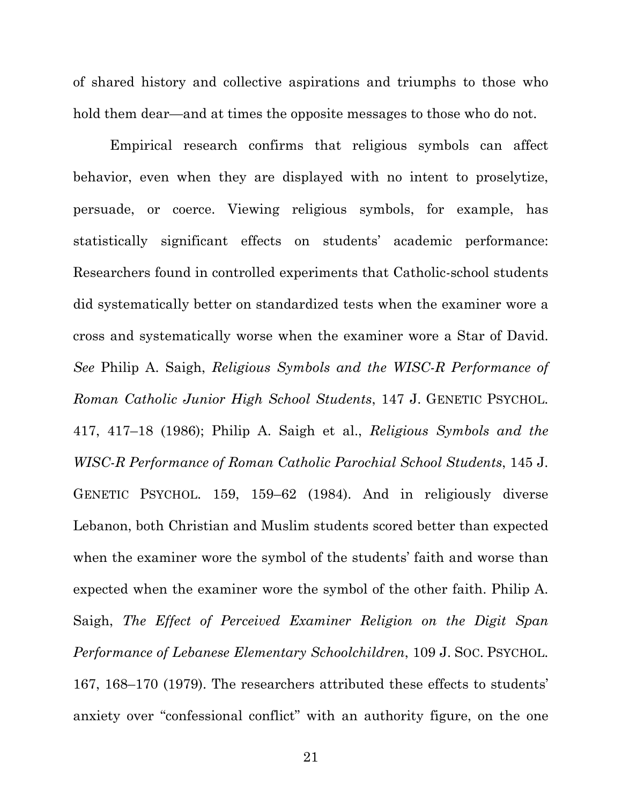of shared history and collective aspirations and triumphs to those who hold them dear—and at times the opposite messages to those who do not.

Empirical research confirms that religious symbols can affect behavior, even when they are displayed with no intent to proselytize, persuade, or coerce. Viewing religious symbols, for example, has statistically significant effects on students' academic performance: Researchers found in controlled experiments that Catholic-school students did systematically better on standardized tests when the examiner wore a cross and systematically worse when the examiner wore a Star of David. *See* Philip A. Saigh, *Religious Symbols and the WISC-R Performance of Roman Catholic Junior High School Students*, 147 J. GENETIC PSYCHOL. 417, 417–18 (1986); Philip A. Saigh et al., *Religious Symbols and the WISC-R Performance of Roman Catholic Parochial School Students*, 145 J. GENETIC PSYCHOL. 159, 159–62 (1984). And in religiously diverse Lebanon, both Christian and Muslim students scored better than expected when the examiner wore the symbol of the students' faith and worse than expected when the examiner wore the symbol of the other faith. Philip A. Saigh, *The Effect of Perceived Examiner Religion on the Digit Span Performance of Lebanese Elementary Schoolchildren*, 109 J. SOC. PSYCHOL. 167, 168–170 (1979). The researchers attributed these effects to students' anxiety over "confessional conflict" with an authority figure, on the one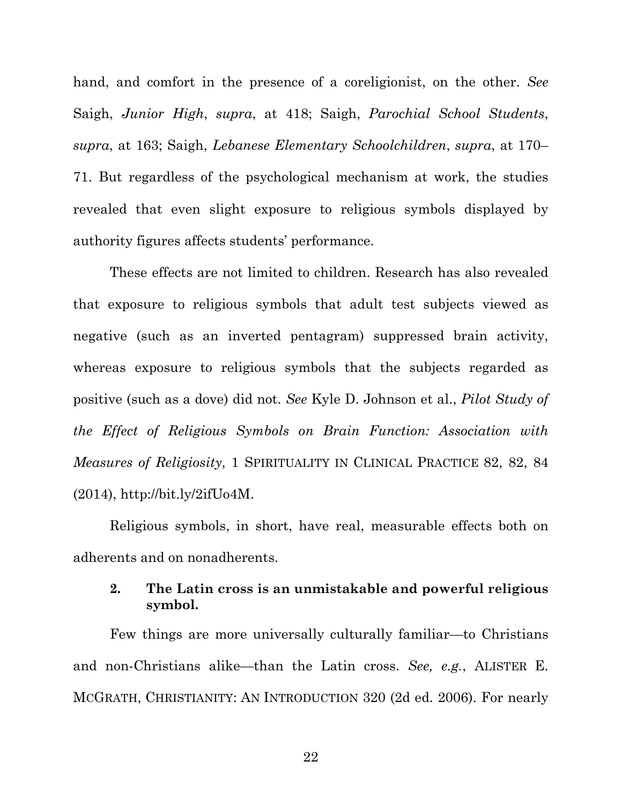hand, and comfort in the presence of a coreligionist, on the other. *See* Saigh, *Junior High*, *supra*, at 418; Saigh, *Parochial School Students*, *supra*, at 163; Saigh, *Lebanese Elementary Schoolchildren*, *supra*, at 170– 71. But regardless of the psychological mechanism at work, the studies revealed that even slight exposure to religious symbols displayed by authority figures affects students' performance.

These effects are not limited to children. Research has also revealed that exposure to religious symbols that adult test subjects viewed as negative (such as an inverted pentagram) suppressed brain activity, whereas exposure to religious symbols that the subjects regarded as positive (such as a dove) did not. *See* Kyle D. Johnson et al., *Pilot Study of the Effect of Religious Symbols on Brain Function: Association with Measures of Religiosity*, 1 SPIRITUALITY IN CLINICAL PRACTICE 82, 82, 84  $(2014)$ , http://bit.ly/2ifUo4M.

Religious symbols, in short, have real, measurable effects both on adherents and on nonadherents.

### **2. The Latin cross is an unmistakable and powerful religious symbol.**

Few things are more universally culturally familiar—to Christians and non-Christians alike—than the Latin cross. *See, e.g.*, ALISTER E. MCGRATH, CHRISTIANITY: AN INTRODUCTION 320 (2d ed. 2006). For nearly

22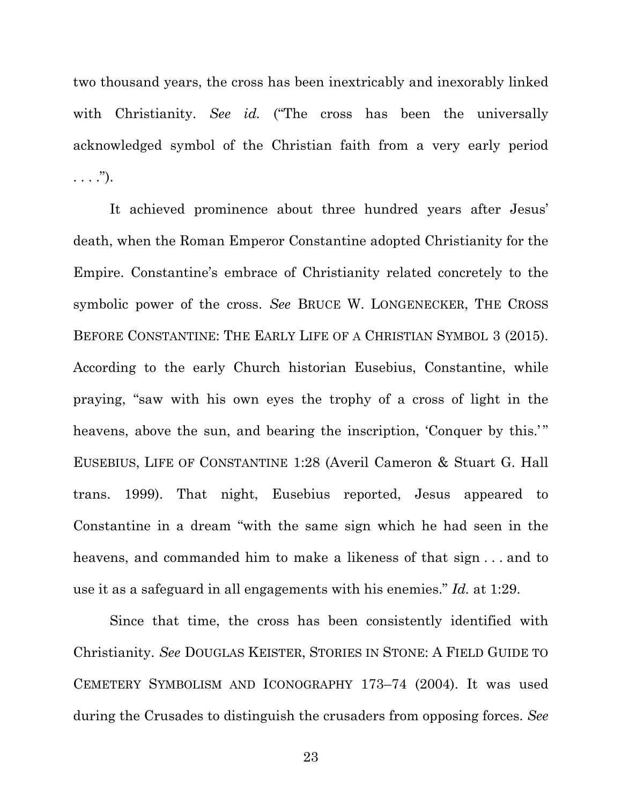two thousand years, the cross has been inextricably and inexorably linked with Christianity. *See id.* ("The cross has been the universally acknowledged symbol of the Christian faith from a very early period  $\ldots$ .").

It achieved prominence about three hundred years after Jesus' death, when the Roman Emperor Constantine adopted Christianity for the Empire. Constantine's embrace of Christianity related concretely to the symbolic power of the cross. *See* BRUCE W. LONGENECKER, THE CROSS BEFORE CONSTANTINE: THE EARLY LIFE OF A CHRISTIAN SYMBOL 3 (2015). According to the early Church historian Eusebius, Constantine, while praying, "saw with his own eyes the trophy of a cross of light in the heavens, above the sun, and bearing the inscription, 'Conquer by this.'" EUSEBIUS, LIFE OF CONSTANTINE 1:28 (Averil Cameron & Stuart G. Hall trans. 1999). That night, Eusebius reported, Jesus appeared to Constantine in a dream "with the same sign which he had seen in the heavens, and commanded him to make a likeness of that sign . . . and to use it as a safeguard in all engagements with his enemies." *Id.* at 1:29.

Since that time, the cross has been consistently identified with Christianity. *See* DOUGLAS KEISTER, STORIES IN STONE: A FIELD GUIDE TO CEMETERY SYMBOLISM AND ICONOGRAPHY 173–74 (2004). It was used during the Crusades to distinguish the crusaders from opposing forces. *See*

23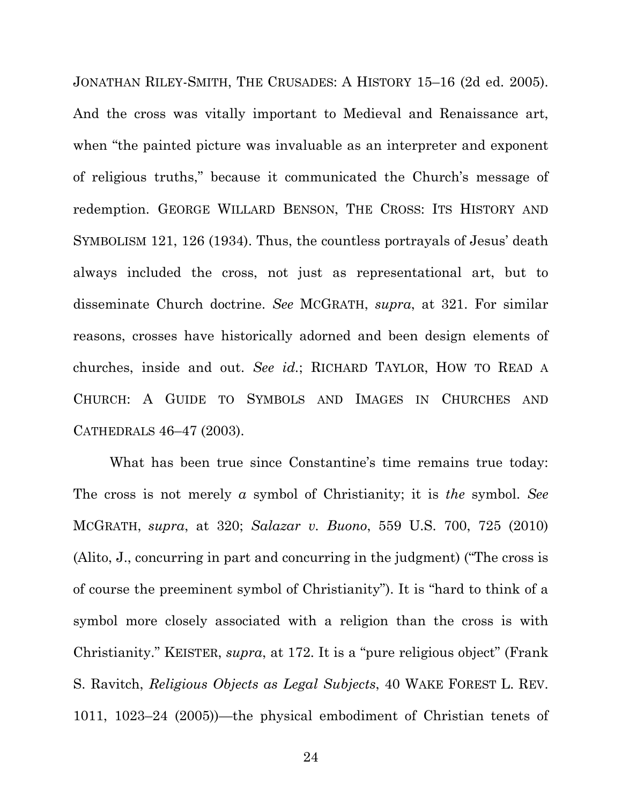JONATHAN RILEY-SMITH, THE CRUSADES: A HISTORY 15–16 (2d ed. 2005). And the cross was vitally important to Medieval and Renaissance art, when "the painted picture was invaluable as an interpreter and exponent of religious truths," because it communicated the Church's message of redemption. GEORGE WILLARD BENSON, THE CROSS: ITS HISTORY AND SYMBOLISM 121, 126 (1934). Thus, the countless portrayals of Jesus' death always included the cross, not just as representational art, but to disseminate Church doctrine. *See* MCGRATH, *supra*, at 321. For similar reasons, crosses have historically adorned and been design elements of churches, inside and out. *See id.*; RICHARD TAYLOR, HOW TO READ A CHURCH: A GUIDE TO SYMBOLS AND IMAGES IN CHURCHES AND CATHEDRALS 46–47 (2003).

What has been true since Constantine's time remains true today: The cross is not merely *a* symbol of Christianity; it is *the* symbol. *See* MCGRATH, *supra*, at 320; *Salazar v. Buono*, 559 U.S. 700, 725 (2010) (Alito, J., concurring in part and concurring in the judgment) ("The cross is of course the preeminent symbol of Christianity"). It is "hard to think of a symbol more closely associated with a religion than the cross is with Christianity." KEISTER, *supra*, at 172. It is a "pure religious object" (Frank S. Ravitch, *Religious Objects as Legal Subjects*, 40 WAKE FOREST L. REV. 1011, 1023–24 (2005))—the physical embodiment of Christian tenets of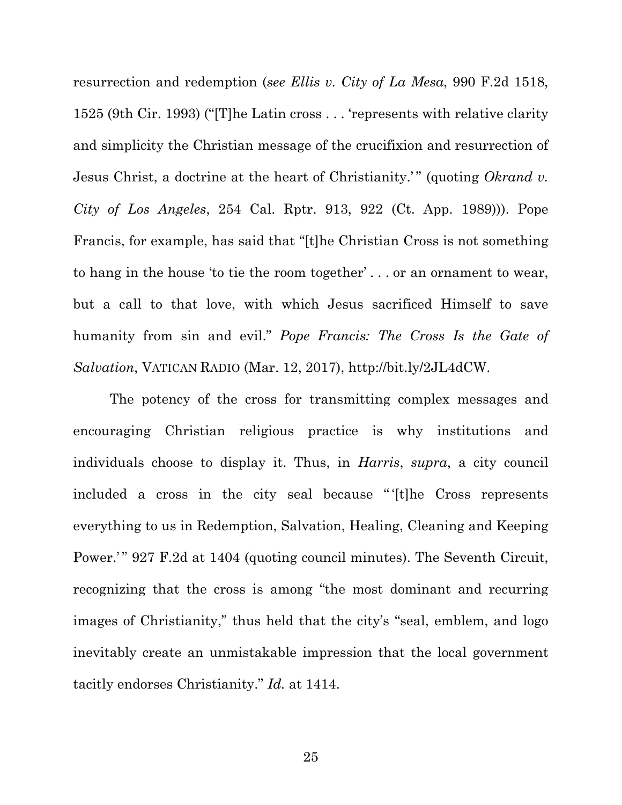resurrection and redemption (*see Ellis v. City of La Mesa*, 990 F.2d 1518, 1525 (9th Cir. 1993) ("[T]he Latin cross . . . 'represents with relative clarity and simplicity the Christian message of the crucifixion and resurrection of Jesus Christ, a doctrine at the heart of Christianity.'" (quoting *Okrand v. City of Los Angeles*, 254 Cal. Rptr. 913, 922 (Ct. App. 1989))). Pope Francis, for example, has said that "[t]he Christian Cross is not something to hang in the house 'to tie the room together' . . . or an ornament to wear, but a call to that love, with which Jesus sacrificed Himself to save humanity from sin and evil." *Pope Francis: The Cross Is the Gate of Salvation*, VATICAN RADIO (Mar. 12, 2017), http://bit.ly/2JL4dCW.

The potency of the cross for transmitting complex messages and encouraging Christian religious practice is why institutions and individuals choose to display it. Thus, in *Harris*, *supra*, a city council included a cross in the city seal because " '[t]he Cross represents everything to us in Redemption, Salvation, Healing, Cleaning and Keeping Power.'" 927 F.2d at 1404 (quoting council minutes). The Seventh Circuit, recognizing that the cross is among "the most dominant and recurring images of Christianity," thus held that the city's "seal, emblem, and logo inevitably create an unmistakable impression that the local government tacitly endorses Christianity." *Id.* at 1414.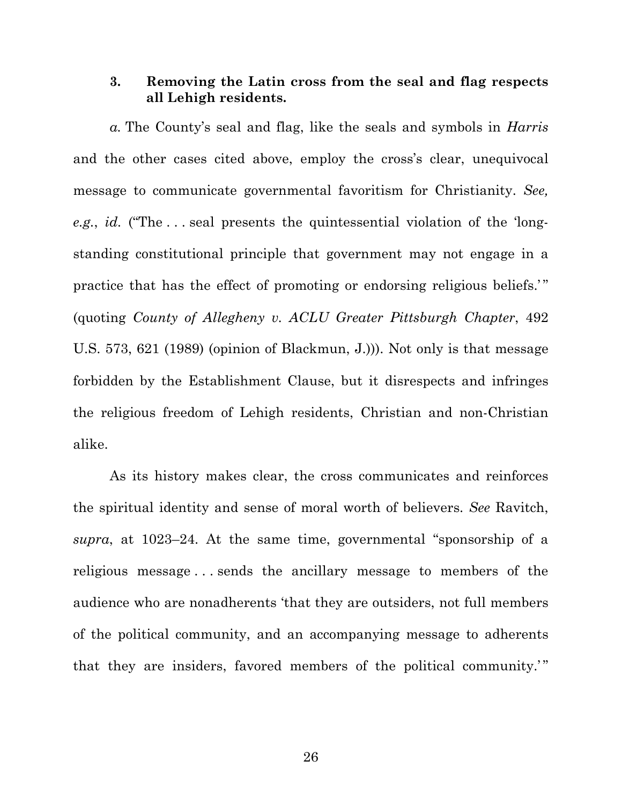#### **3. Removing the Latin cross from the seal and flag respects all Lehigh residents.**

*a.* The County's seal and flag, like the seals and symbols in *Harris* and the other cases cited above, employ the cross's clear, unequivocal message to communicate governmental favoritism for Christianity. *See, e.g.*, *id.* ("The . . . seal presents the quintessential violation of the 'longstanding constitutional principle that government may not engage in a practice that has the effect of promoting or endorsing religious beliefs." (quoting *County of Allegheny v. ACLU Greater Pittsburgh Chapter*, 492 U.S. 573, 621 (1989) (opinion of Blackmun, J.))). Not only is that message forbidden by the Establishment Clause, but it disrespects and infringes the religious freedom of Lehigh residents, Christian and non-Christian alike.

As its history makes clear, the cross communicates and reinforces the spiritual identity and sense of moral worth of believers. *See* Ravitch, *supra*, at 1023–24. At the same time, governmental "sponsorship of a religious message . . . sends the ancillary message to members of the audience who are nonadherents 'that they are outsiders, not full members of the political community, and an accompanying message to adherents that they are insiders, favored members of the political community."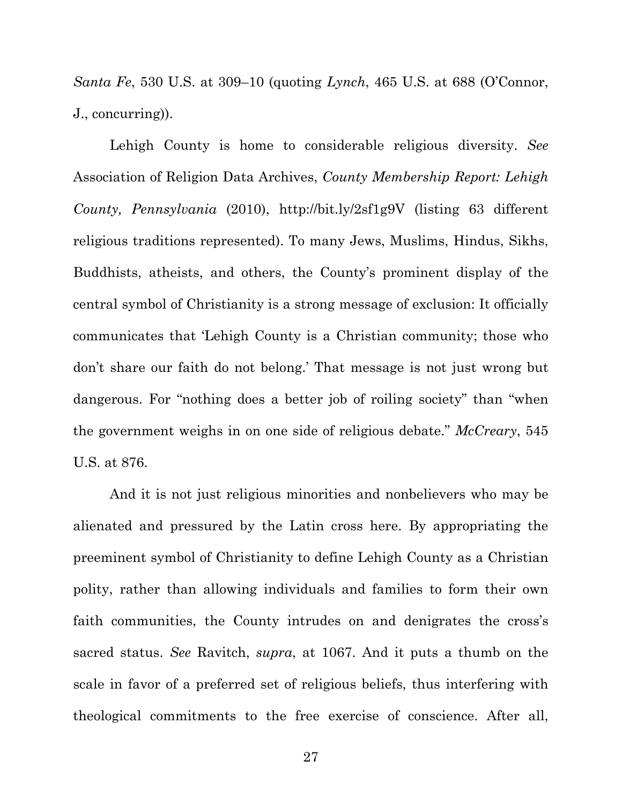*Santa Fe*, 530 U.S. at 309–10 (quoting *Lynch*, 465 U.S. at 688 (O'Connor, J., concurring)).

Lehigh County is home to considerable religious diversity. *See* Association of Religion Data Archives, *County Membership Report: Lehigh County, Pennsylvania* (2010), http://bit.ly/2sf1g9V (listing 63 different religious traditions represented). To many Jews, Muslims, Hindus, Sikhs, Buddhists, atheists, and others, the County's prominent display of the central symbol of Christianity is a strong message of exclusion: It officially communicates that 'Lehigh County is a Christian community; those who don't share our faith do not belong.' That message is not just wrong but dangerous. For "nothing does a better job of roiling society" than "when the government weighs in on one side of religious debate." *McCreary*, 545 U.S. at 876.

And it is not just religious minorities and nonbelievers who may be alienated and pressured by the Latin cross here. By appropriating the preeminent symbol of Christianity to define Lehigh County as a Christian polity, rather than allowing individuals and families to form their own faith communities, the County intrudes on and denigrates the cross's sacred status. *See* Ravitch, *supra*, at 1067. And it puts a thumb on the scale in favor of a preferred set of religious beliefs, thus interfering with theological commitments to the free exercise of conscience. After all,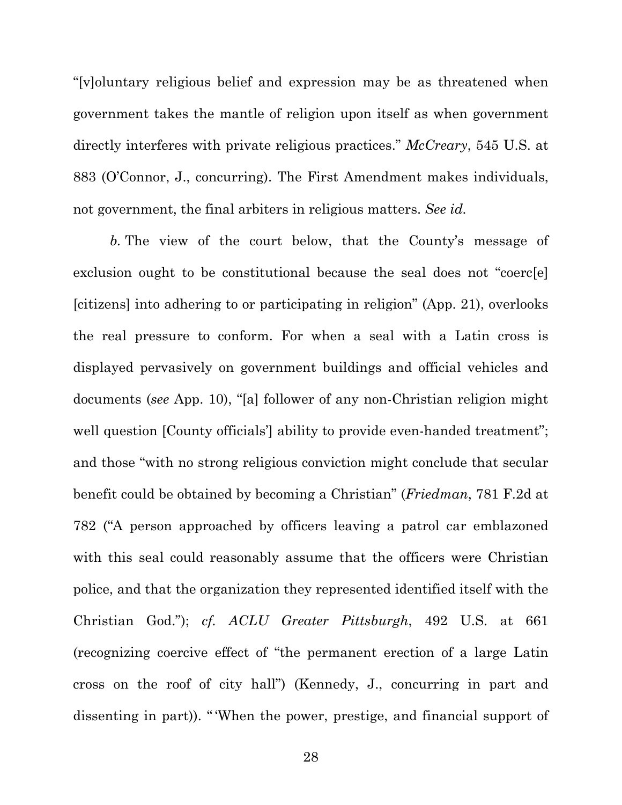"[v]oluntary religious belief and expression may be as threatened when government takes the mantle of religion upon itself as when government directly interferes with private religious practices." *McCreary*, 545 U.S. at 883 (O'Connor, J., concurring). The First Amendment makes individuals, not government, the final arbiters in religious matters. *See id.* 

*b.* The view of the court below, that the County's message of exclusion ought to be constitutional because the seal does not "coerc[e] [citizens] into adhering to or participating in religion" (App. 21), overlooks the real pressure to conform. For when a seal with a Latin cross is displayed pervasively on government buildings and official vehicles and documents (*see* App. 10), "[a] follower of any non-Christian religion might well question [County officials] ability to provide even-handed treatment"; and those "with no strong religious conviction might conclude that secular benefit could be obtained by becoming a Christian" (*Friedman*, 781 F.2d at 782 ("A person approached by officers leaving a patrol car emblazoned with this seal could reasonably assume that the officers were Christian police, and that the organization they represented identified itself with the Christian God."); *cf. ACLU Greater Pittsburgh*, 492 U.S. at 661 (recognizing coercive effect of "the permanent erection of a large Latin cross on the roof of city hall") (Kennedy, J., concurring in part and dissenting in part)). " 'When the power, prestige, and financial support of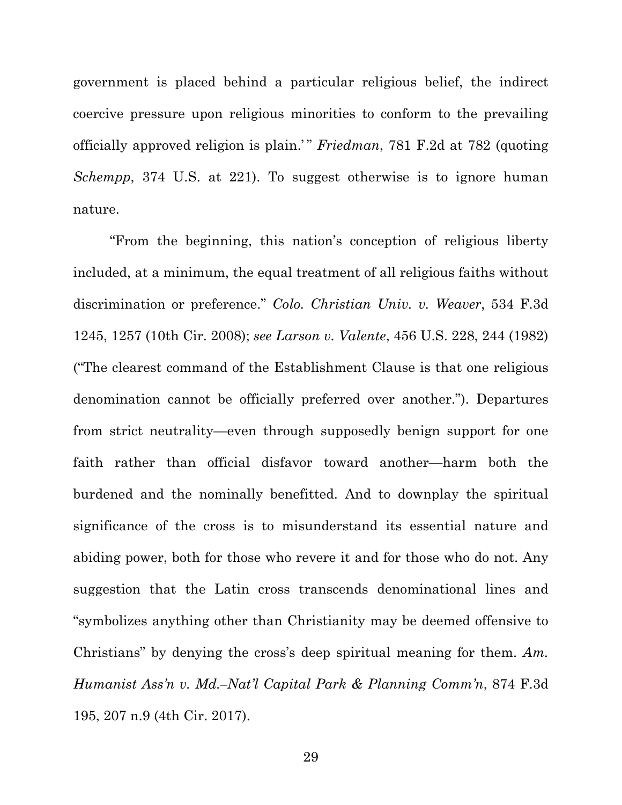government is placed behind a particular religious belief, the indirect coercive pressure upon religious minorities to conform to the prevailing officially approved religion is plain.'" *Friedman*, 781 F.2d at 782 (quoting *Schempp*, 374 U.S. at 221). To suggest otherwise is to ignore human nature.

"From the beginning, this nation's conception of religious liberty included, at a minimum, the equal treatment of all religious faiths without discrimination or preference." *Colo. Christian Univ. v. Weaver*, 534 F.3d 1245, 1257 (10th Cir. 2008); *see Larson v. Valente*, 456 U.S. 228, 244 (1982) ("The clearest command of the Establishment Clause is that one religious denomination cannot be officially preferred over another."). Departures from strict neutrality—even through supposedly benign support for one faith rather than official disfavor toward another—harm both the burdened and the nominally benefitted. And to downplay the spiritual significance of the cross is to misunderstand its essential nature and abiding power, both for those who revere it and for those who do not. Any suggestion that the Latin cross transcends denominational lines and "symbolizes anything other than Christianity may be deemed offensive to Christians" by denying the cross's deep spiritual meaning for them. *Am. Humanist Ass'n v. Md.–Nat'l Capital Park & Planning Comm'n*, 874 F.3d 195, 207 n.9 (4th Cir. 2017).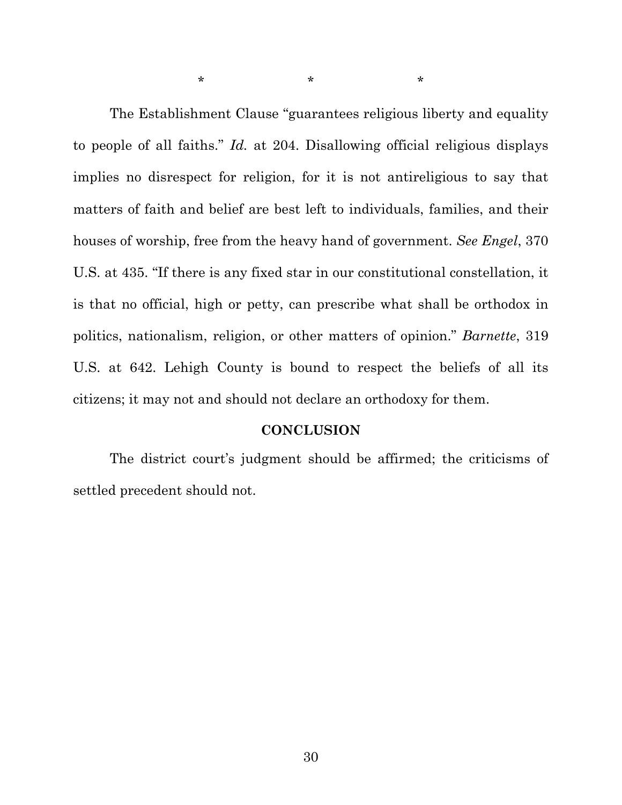The Establishment Clause "guarantees religious liberty and equality to people of all faiths." *Id.* at 204. Disallowing official religious displays implies no disrespect for religion, for it is not antireligious to say that matters of faith and belief are best left to individuals, families, and their houses of worship, free from the heavy hand of government. *See Engel*, 370 U.S. at 435. "If there is any fixed star in our constitutional constellation, it is that no official, high or petty, can prescribe what shall be orthodox in politics, nationalism, religion, or other matters of opinion." *Barnette*, 319 U.S. at 642. Lehigh County is bound to respect the beliefs of all its citizens; it may not and should not declare an orthodoxy for them.

 $\star$  \*  $\star$  \*  $\star$ 

#### **CONCLUSION**

The district court's judgment should be affirmed; the criticisms of settled precedent should not.

30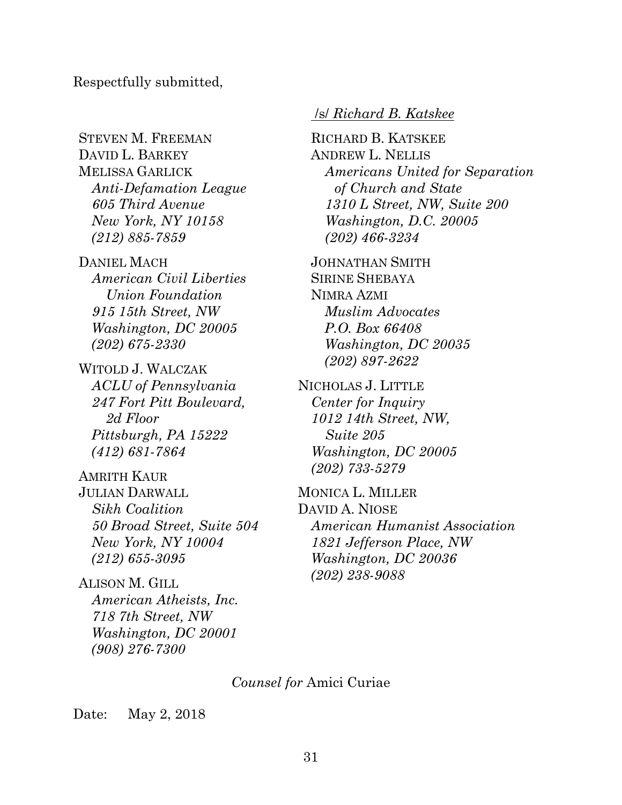Respectfully submitted,

STEVEN M. FREEMAN DAVID L. BARKEY MELISSA GARLICK *Anti-Defamation League 605 Third Avenue New York, NY 10158 (212) 885-7859* 

DANIEL MACH *American Civil Liberties Union Foundation 915 15th Street, NW Washington, DC 20005 (202) 675-2330* 

WITOLD J. WALCZAK *ACLU of Pennsylvania 247 Fort Pitt Boulevard, 2d Floor Pittsburgh, PA 15222 (412) 681-7864* 

AMRITH KAUR JULIAN DARWALL *Sikh Coalition 50 Broad Street, Suite 504 New York, NY 10004 (212) 655-3095* 

ALISON M. GILL *American Atheists, Inc. 718 7th Street, NW Washington, DC 20001 (908) 276-7300* 

### /s/ *Richard B. Katskee*

RICHARD B. KATSKEE ANDREW L. NELLIS *Americans United for Separation of Church and State 1310 L Street, NW, Suite 200 Washington, D.C. 20005 (202) 466-3234*

JOHNATHAN SMITH SIRINE SHEBAYA NIMRA AZMI *Muslim Advocates P.O. Box 66408 Washington, DC 20035 (202) 897-2622* 

NICHOLAS J. LITTLE *Center for Inquiry 1012 14th Street, NW, Suite 205 Washington, DC 20005 (202) 733-5279* 

MONICA L. MILLER DAVID A. NIOSE *American Humanist Association 1821 Jefferson Place, NW Washington, DC 20036 (202) 238-9088* 

*Counsel for* Amici Curiae

Date: May 2, 2018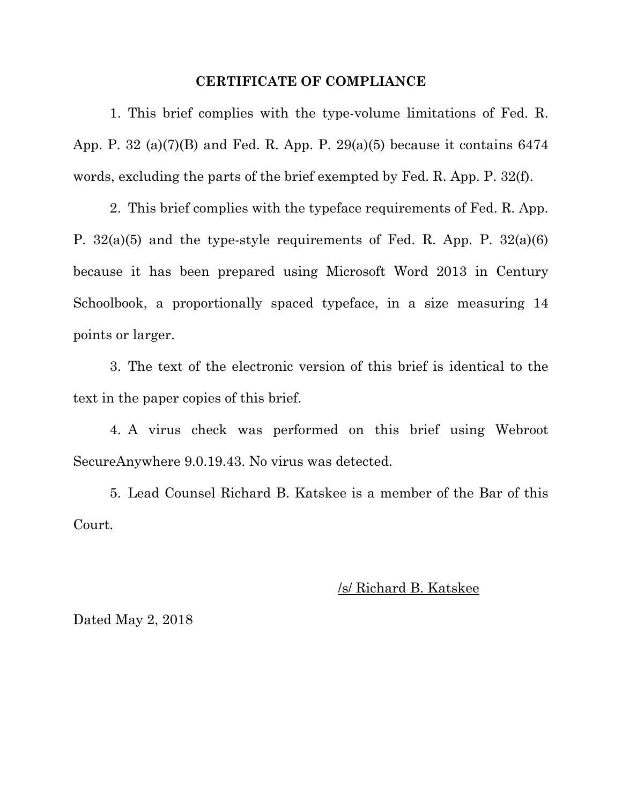#### **CERTIFICATE OF COMPLIANCE**

1. This brief complies with the type-volume limitations of Fed. R. App. P. 32 (a)(7)(B) and Fed. R. App. P. 29(a)(5) because it contains  $6474$ words, excluding the parts of the brief exempted by Fed. R. App. P. 32(f).

2. This brief complies with the typeface requirements of Fed. R. App. P.  $32(a)(5)$  and the type-style requirements of Fed. R. App. P.  $32(a)(6)$ because it has been prepared using Microsoft Word 2013 in Century Schoolbook, a proportionally spaced typeface, in a size measuring 14 points or larger.

3. The text of the electronic version of this brief is identical to the text in the paper copies of this brief.

4. A virus check was performed on this brief using Webroot SecureAnywhere 9.0.19.43. No virus was detected.

5. Lead Counsel Richard B. Katskee is a member of the Bar of this Court.

#### /s/ Richard B. Katskee

Dated May 2, 2018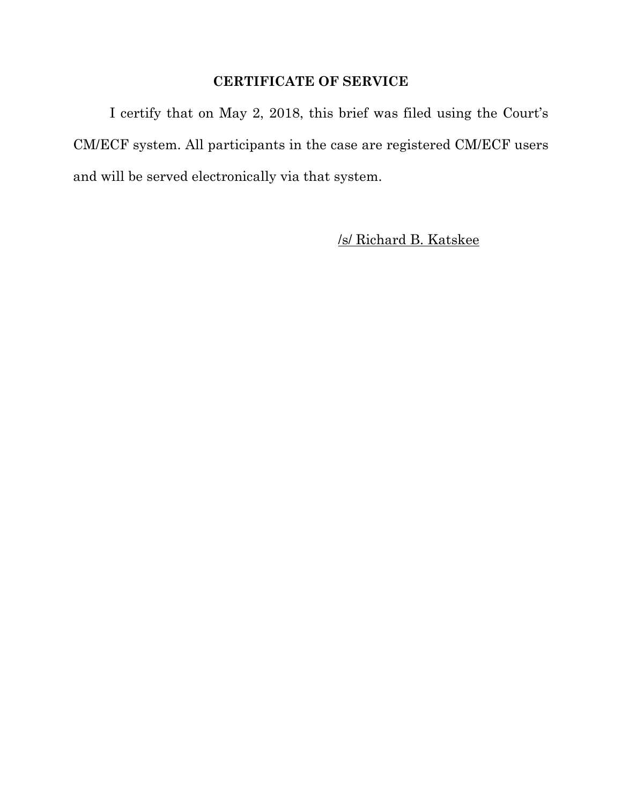## **CERTIFICATE OF SERVICE**

I certify that on May 2, 2018, this brief was filed using the Court's CM/ECF system. All participants in the case are registered CM/ECF users and will be served electronically via that system.

/s/ Richard B. Katskee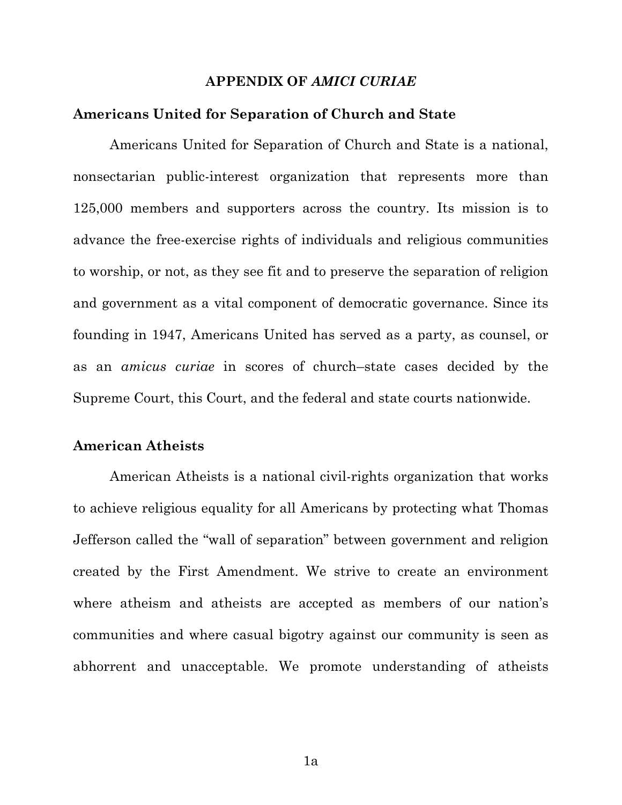#### **APPENDIX OF** *AMICI CURIAE*

#### **Americans United for Separation of Church and State**

Americans United for Separation of Church and State is a national, nonsectarian public-interest organization that represents more than 125,000 members and supporters across the country. Its mission is to advance the free-exercise rights of individuals and religious communities to worship, or not, as they see fit and to preserve the separation of religion and government as a vital component of democratic governance. Since its founding in 1947, Americans United has served as a party, as counsel, or as an *amicus curiae* in scores of church–state cases decided by the Supreme Court, this Court, and the federal and state courts nationwide.

#### **American Atheists**

American Atheists is a national civil-rights organization that works to achieve religious equality for all Americans by protecting what Thomas Jefferson called the "wall of separation" between government and religion created by the First Amendment. We strive to create an environment where atheism and atheists are accepted as members of our nation's communities and where casual bigotry against our community is seen as abhorrent and unacceptable. We promote understanding of atheists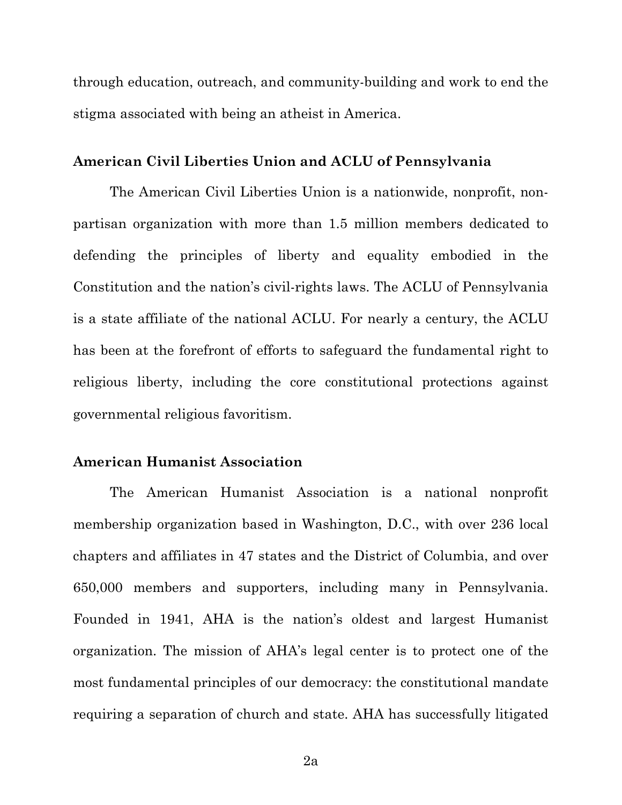through education, outreach, and community-building and work to end the stigma associated with being an atheist in America.

#### **American Civil Liberties Union and ACLU of Pennsylvania**

The American Civil Liberties Union is a nationwide, nonprofit, nonpartisan organization with more than 1.5 million members dedicated to defending the principles of liberty and equality embodied in the Constitution and the nation's civil-rights laws. The ACLU of Pennsylvania is a state affiliate of the national ACLU. For nearly a century, the ACLU has been at the forefront of efforts to safeguard the fundamental right to religious liberty, including the core constitutional protections against governmental religious favoritism.

### **American Humanist Association**

The American Humanist Association is a national nonprofit membership organization based in Washington, D.C., with over 236 local chapters and affiliates in 47 states and the District of Columbia, and over 650,000 members and supporters, including many in Pennsylvania. Founded in 1941, AHA is the nation's oldest and largest Humanist organization. The mission of AHA's legal center is to protect one of the most fundamental principles of our democracy: the constitutional mandate requiring a separation of church and state. AHA has successfully litigated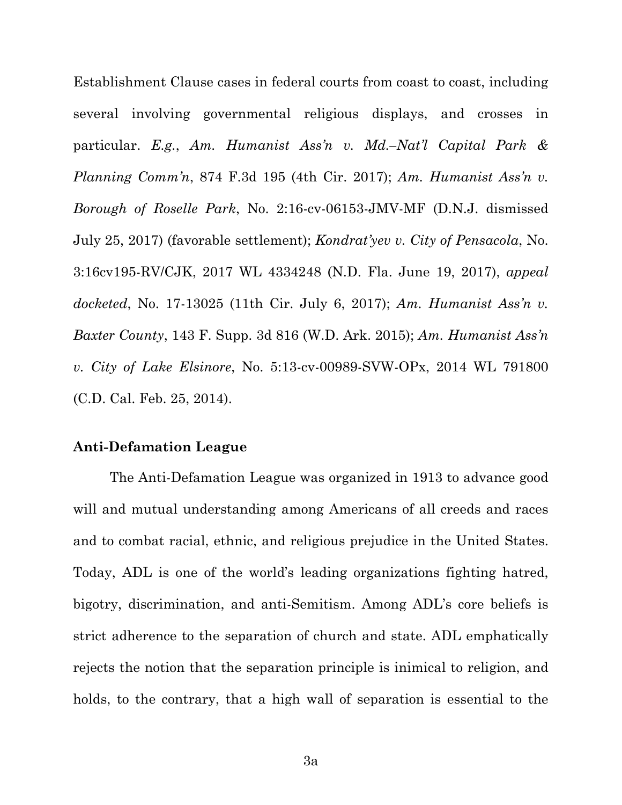Establishment Clause cases in federal courts from coast to coast, including several involving governmental religious displays, and crosses in particular. *E.g.*, *Am. Humanist Ass'n v. Md.–Nat'l Capital Park & Planning Comm'n*, 874 F.3d 195 (4th Cir. 2017); *Am. Humanist Ass'n v. Borough of Roselle Park*, No. 2:16-cv-06153-JMV-MF (D.N.J. dismissed July 25, 2017) (favorable settlement); *Kondrat'yev v. City of Pensacola*, No. 3:16cv195-RV/CJK, 2017 WL 4334248 (N.D. Fla. June 19, 2017), *appeal docketed*, No. 17-13025 (11th Cir. July 6, 2017); *Am. Humanist Ass'n v. Baxter County*, 143 F. Supp. 3d 816 (W.D. Ark. 2015); *Am. Humanist Ass'n v. City of Lake Elsinore*, No. 5:13-cv-00989-SVW-OPx, 2014 WL 791800 (C.D. Cal. Feb. 25, 2014).

#### **Anti-Defamation League**

The Anti-Defamation League was organized in 1913 to advance good will and mutual understanding among Americans of all creeds and races and to combat racial, ethnic, and religious prejudice in the United States. Today, ADL is one of the world's leading organizations fighting hatred, bigotry, discrimination, and anti-Semitism. Among ADL's core beliefs is strict adherence to the separation of church and state. ADL emphatically rejects the notion that the separation principle is inimical to religion, and holds, to the contrary, that a high wall of separation is essential to the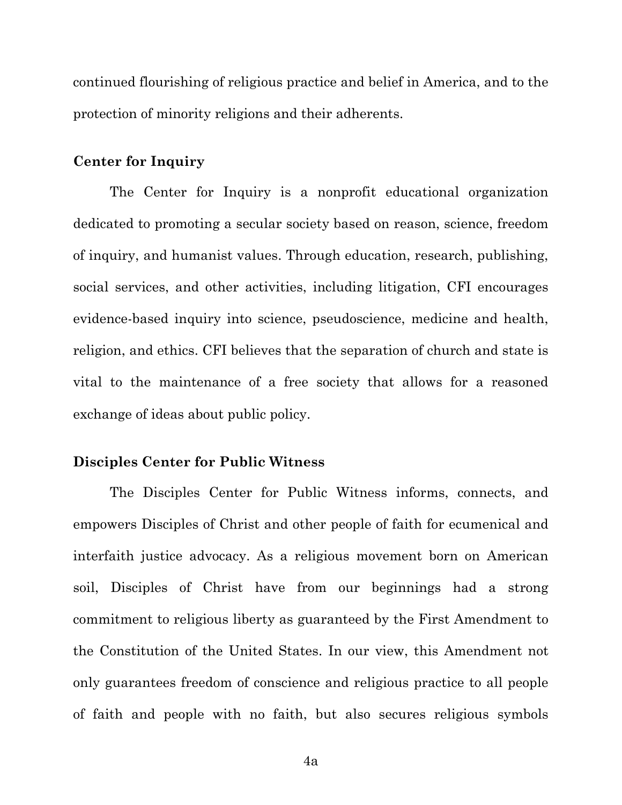continued flourishing of religious practice and belief in America, and to the protection of minority religions and their adherents.

#### **Center for Inquiry**

The Center for Inquiry is a nonprofit educational organization dedicated to promoting a secular society based on reason, science, freedom of inquiry, and humanist values. Through education, research, publishing, social services, and other activities, including litigation, CFI encourages evidence-based inquiry into science, pseudoscience, medicine and health, religion, and ethics. CFI believes that the separation of church and state is vital to the maintenance of a free society that allows for a reasoned exchange of ideas about public policy.

#### **Disciples Center for Public Witness**

The Disciples Center for Public Witness informs, connects, and empowers Disciples of Christ and other people of faith for ecumenical and interfaith justice advocacy. As a religious movement born on American soil, Disciples of Christ have from our beginnings had a strong commitment to religious liberty as guaranteed by the First Amendment to the Constitution of the United States. In our view, this Amendment not only guarantees freedom of conscience and religious practice to all people of faith and people with no faith, but also secures religious symbols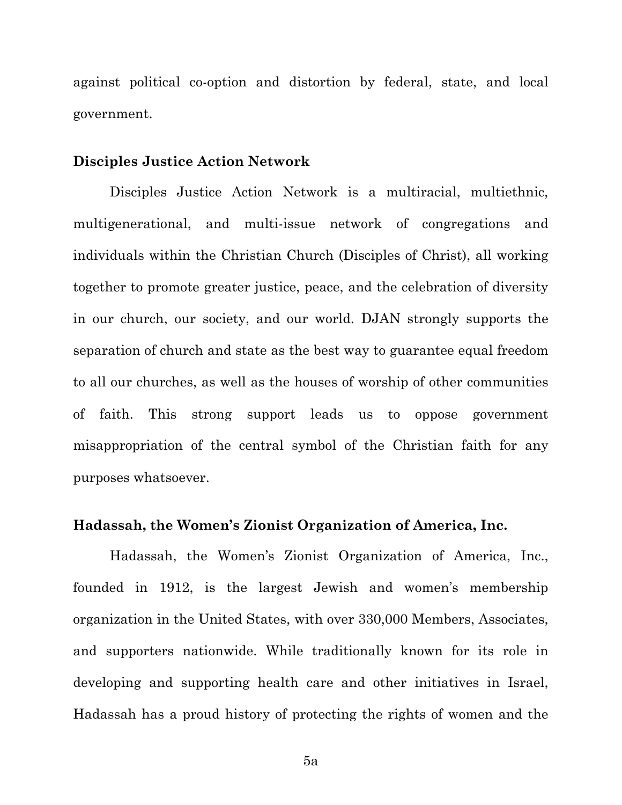against political co-option and distortion by federal, state, and local government.

#### **Disciples Justice Action Network**

Disciples Justice Action Network is a multiracial, multiethnic, multigenerational, and multi-issue network of congregations and individuals within the Christian Church (Disciples of Christ), all working together to promote greater justice, peace, and the celebration of diversity in our church, our society, and our world. DJAN strongly supports the separation of church and state as the best way to guarantee equal freedom to all our churches, as well as the houses of worship of other communities of faith. This strong support leads us to oppose government misappropriation of the central symbol of the Christian faith for any purposes whatsoever.

#### **Hadassah, the Women's Zionist Organization of America, Inc.**

Hadassah, the Women's Zionist Organization of America, Inc., founded in 1912, is the largest Jewish and women's membership organization in the United States, with over 330,000 Members, Associates, and supporters nationwide. While traditionally known for its role in developing and supporting health care and other initiatives in Israel, Hadassah has a proud history of protecting the rights of women and the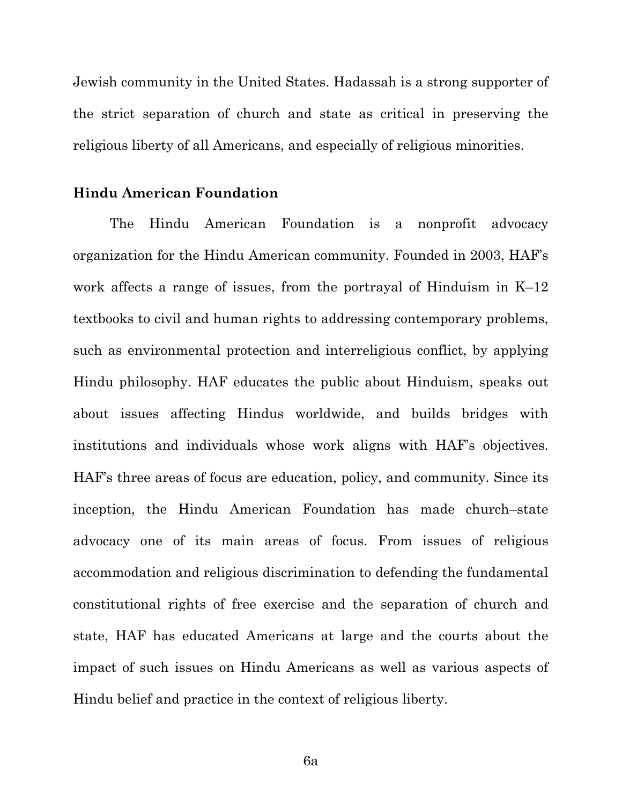Jewish community in the United States. Hadassah is a strong supporter of the strict separation of church and state as critical in preserving the religious liberty of all Americans, and especially of religious minorities.

#### **Hindu American Foundation**

The Hindu American Foundation is a nonprofit advocacy organization for the Hindu American community. Founded in 2003, HAF's work affects a range of issues, from the portrayal of Hinduism in K–12 textbooks to civil and human rights to addressing contemporary problems, such as environmental protection and interreligious conflict, by applying Hindu philosophy. HAF educates the public about Hinduism, speaks out about issues affecting Hindus worldwide, and builds bridges with institutions and individuals whose work aligns with HAF's objectives. HAF's three areas of focus are education, policy, and community. Since its inception, the Hindu American Foundation has made church–state advocacy one of its main areas of focus. From issues of religious accommodation and religious discrimination to defending the fundamental constitutional rights of free exercise and the separation of church and state, HAF has educated Americans at large and the courts about the impact of such issues on Hindu Americans as well as various aspects of Hindu belief and practice in the context of religious liberty.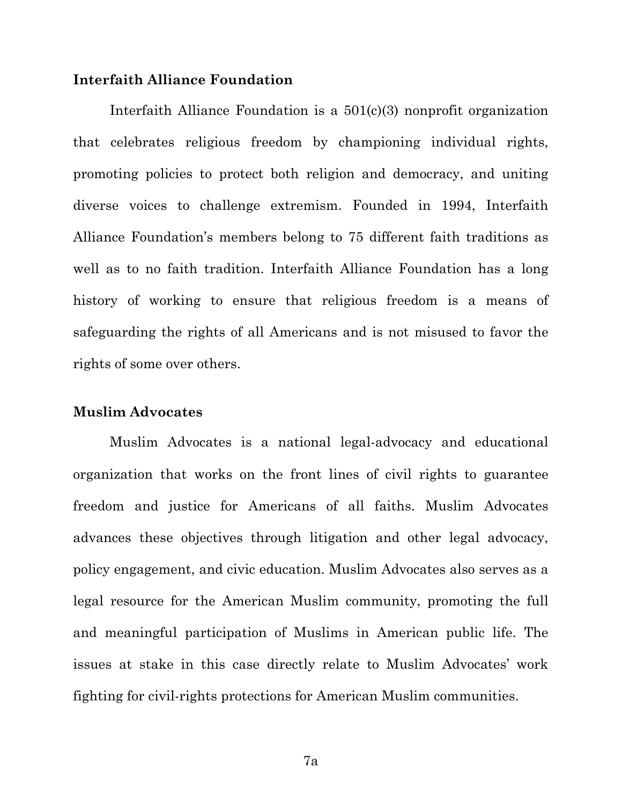### **Interfaith Alliance Foundation**

Interfaith Alliance Foundation is a 501(c)(3) nonprofit organization that celebrates religious freedom by championing individual rights, promoting policies to protect both religion and democracy, and uniting diverse voices to challenge extremism. Founded in 1994, Interfaith Alliance Foundation's members belong to 75 different faith traditions as well as to no faith tradition. Interfaith Alliance Foundation has a long history of working to ensure that religious freedom is a means of safeguarding the rights of all Americans and is not misused to favor the rights of some over others.

#### **Muslim Advocates**

Muslim Advocates is a national legal-advocacy and educational organization that works on the front lines of civil rights to guarantee freedom and justice for Americans of all faiths. Muslim Advocates advances these objectives through litigation and other legal advocacy, policy engagement, and civic education. Muslim Advocates also serves as a legal resource for the American Muslim community, promoting the full and meaningful participation of Muslims in American public life. The issues at stake in this case directly relate to Muslim Advocates' work fighting for civil-rights protections for American Muslim communities.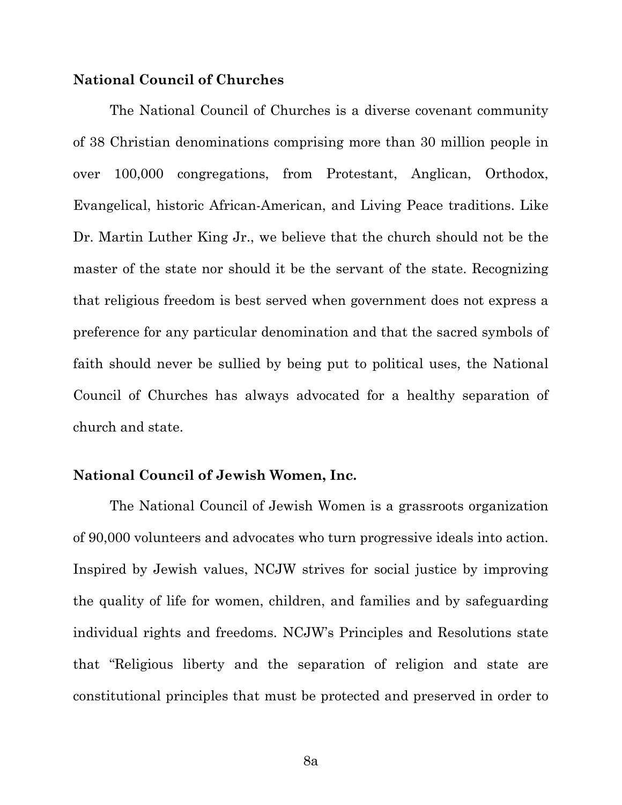### **National Council of Churches**

The National Council of Churches is a diverse covenant community of 38 Christian denominations comprising more than 30 million people in over 100,000 congregations, from Protestant, Anglican, Orthodox, Evangelical, historic African-American, and Living Peace traditions. Like Dr. Martin Luther King Jr., we believe that the church should not be the master of the state nor should it be the servant of the state. Recognizing that religious freedom is best served when government does not express a preference for any particular denomination and that the sacred symbols of faith should never be sullied by being put to political uses, the National Council of Churches has always advocated for a healthy separation of church and state.

#### **National Council of Jewish Women, Inc.**

The National Council of Jewish Women is a grassroots organization of 90,000 volunteers and advocates who turn progressive ideals into action. Inspired by Jewish values, NCJW strives for social justice by improving the quality of life for women, children, and families and by safeguarding individual rights and freedoms. NCJW's Principles and Resolutions state that "Religious liberty and the separation of religion and state are constitutional principles that must be protected and preserved in order to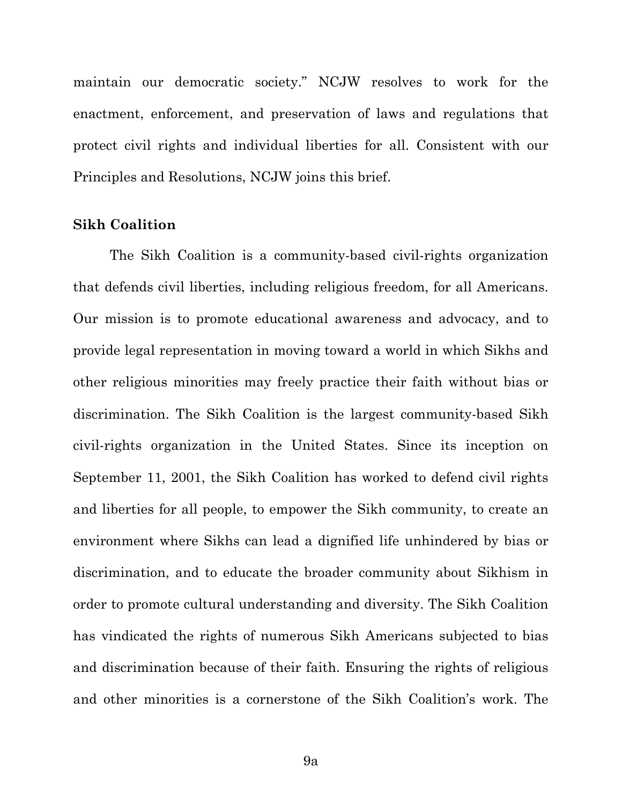maintain our democratic society." NCJW resolves to work for the enactment, enforcement, and preservation of laws and regulations that protect civil rights and individual liberties for all. Consistent with our Principles and Resolutions, NCJW joins this brief.

#### **Sikh Coalition**

The Sikh Coalition is a community-based civil-rights organization that defends civil liberties, including religious freedom, for all Americans. Our mission is to promote educational awareness and advocacy, and to provide legal representation in moving toward a world in which Sikhs and other religious minorities may freely practice their faith without bias or discrimination. The Sikh Coalition is the largest community-based Sikh civil-rights organization in the United States. Since its inception on September 11, 2001, the Sikh Coalition has worked to defend civil rights and liberties for all people, to empower the Sikh community, to create an environment where Sikhs can lead a dignified life unhindered by bias or discrimination, and to educate the broader community about Sikhism in order to promote cultural understanding and diversity. The Sikh Coalition has vindicated the rights of numerous Sikh Americans subjected to bias and discrimination because of their faith. Ensuring the rights of religious and other minorities is a cornerstone of the Sikh Coalition's work. The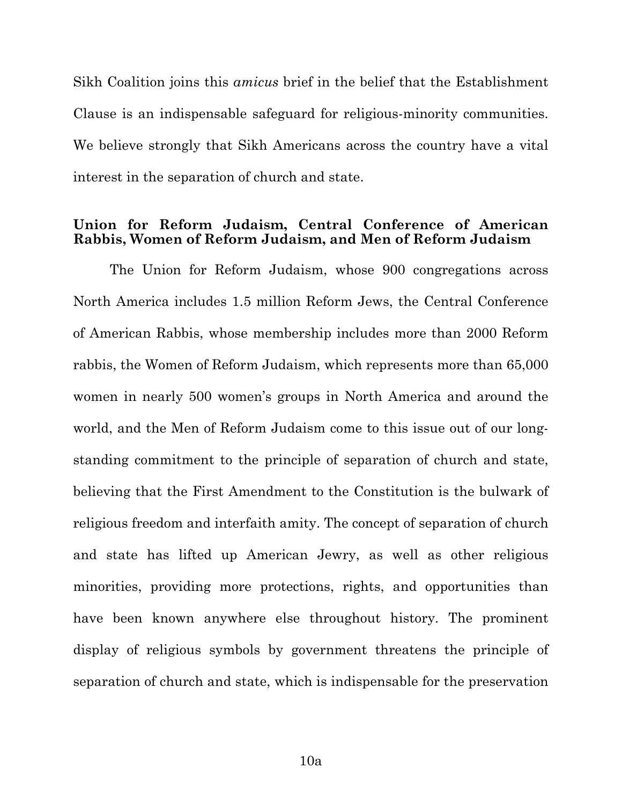Sikh Coalition joins this *amicus* brief in the belief that the Establishment Clause is an indispensable safeguard for religious-minority communities. We believe strongly that Sikh Americans across the country have a vital interest in the separation of church and state.

### **Union for Reform Judaism, Central Conference of American Rabbis, Women of Reform Judaism, and Men of Reform Judaism**

The Union for Reform Judaism, whose 900 congregations across North America includes 1.5 million Reform Jews, the Central Conference of American Rabbis, whose membership includes more than 2000 Reform rabbis, the Women of Reform Judaism, which represents more than 65,000 women in nearly 500 women's groups in North America and around the world, and the Men of Reform Judaism come to this issue out of our longstanding commitment to the principle of separation of church and state, believing that the First Amendment to the Constitution is the bulwark of religious freedom and interfaith amity. The concept of separation of church and state has lifted up American Jewry, as well as other religious minorities, providing more protections, rights, and opportunities than have been known anywhere else throughout history. The prominent display of religious symbols by government threatens the principle of separation of church and state, which is indispensable for the preservation